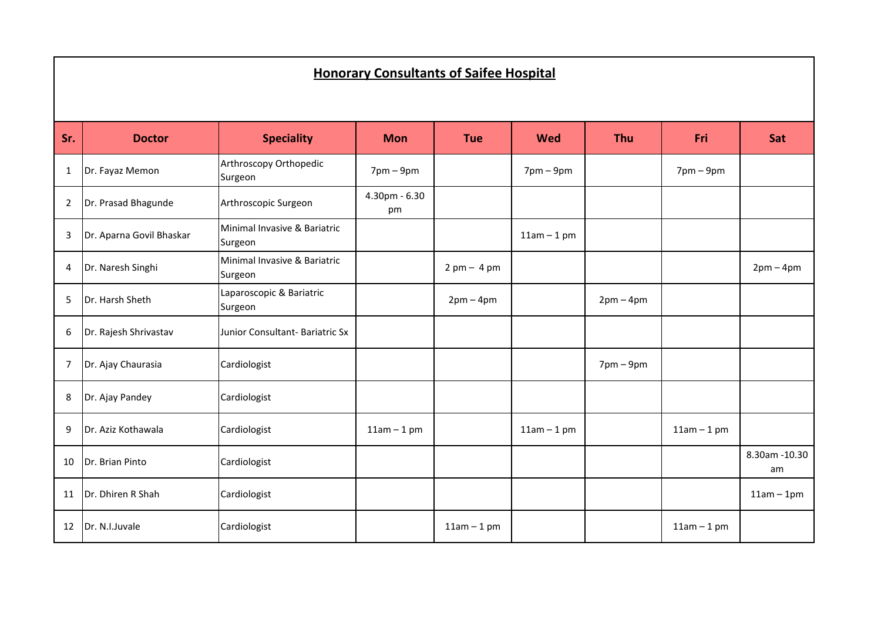## **<u><b>Honorary Consultants of Saifee Hospital**</u>

| Sr.            | <b>Doctor</b>            | <b>Speciality</b>                       | <b>Mon</b>               | <b>Tue</b>                    | <b>Wed</b>      | <b>Thu</b>                  | Fri             | Sat                  |
|----------------|--------------------------|-----------------------------------------|--------------------------|-------------------------------|-----------------|-----------------------------|-----------------|----------------------|
| 1              | Dr. Fayaz Memon          | Arthroscopy Orthopedic<br>Surgeon       | $7$ pm – $9$ pm          |                               | $7$ pm – $9$ pm |                             | $7$ pm – $9$ pm |                      |
| $\overline{2}$ | Dr. Prasad Bhagunde      | Arthroscopic Surgeon                    | $4.30$ pm - $6.30$<br>pm |                               |                 |                             |                 |                      |
| 3              | Dr. Aparna Govil Bhaskar | Minimal Invasive & Bariatric<br>Surgeon |                          |                               | $11am - 1pm$    |                             |                 |                      |
| 4              | Dr. Naresh Singhi        | Minimal Invasive & Bariatric<br>Surgeon |                          | $2 \text{ pm} - 4 \text{ pm}$ |                 |                             |                 | $2pm-4pm$            |
| 5              | Dr. Harsh Sheth          | Laparoscopic & Bariatric<br>Surgeon     |                          | $2pm-4pm$                     |                 | $2pm-4pm$                   |                 |                      |
| 6              | Dr. Rajesh Shrivastav    | Junior Consultant- Bariatric Sx         |                          |                               |                 |                             |                 |                      |
| 7              | Dr. Ajay Chaurasia       | Cardiologist                            |                          |                               |                 | $7 \text{pm} - 9 \text{pm}$ |                 |                      |
| 8              | Dr. Ajay Pandey          | Cardiologist                            |                          |                               |                 |                             |                 |                      |
| 9              | Dr. Aziz Kothawala       | Cardiologist                            | $11am - 1pm$             |                               | $11am - 1pm$    |                             | $11am - 1pm$    |                      |
| 10             | Dr. Brian Pinto          | Cardiologist                            |                          |                               |                 |                             |                 | 8.30am - 10.30<br>am |
| 11             | Dr. Dhiren R Shah        | Cardiologist                            |                          |                               |                 |                             |                 | $11am - 1pm$         |
| 12             | Dr. N.I.Juvale           | Cardiologist                            |                          | $11am - 1pm$                  |                 |                             | $11am - 1pm$    |                      |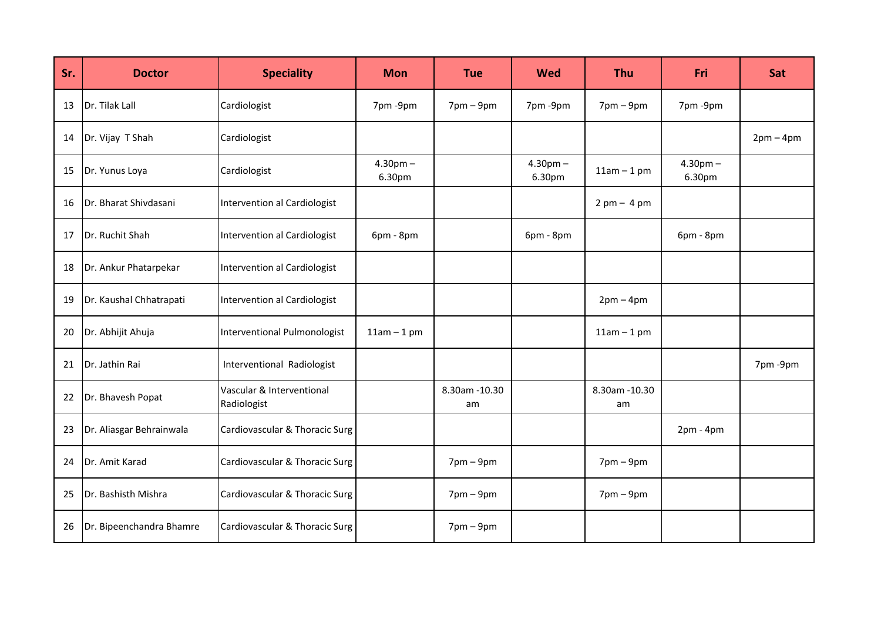| Sr. | <b>Doctor</b>            | <b>Speciality</b>                        | <b>Mon</b>           | <b>Tue</b>           | <b>Wed</b>           | <b>Thu</b>                    | <b>Fri</b>           | Sat       |
|-----|--------------------------|------------------------------------------|----------------------|----------------------|----------------------|-------------------------------|----------------------|-----------|
| 13  | Dr. Tilak Lall           | Cardiologist                             | 7pm -9pm             | $7pm-9pm$            | 7pm-9pm              | $7 \text{pm} - 9 \text{pm}$   | 7pm -9pm             |           |
| 14  | Dr. Vijay T Shah         | Cardiologist                             |                      |                      |                      |                               |                      | $2pm-4pm$ |
| 15  | Dr. Yunus Loya           | Cardiologist                             | $4.30pm -$<br>6.30pm |                      | $4.30pm -$<br>6.30pm | $11am - 1pm$                  | $4.30pm -$<br>6.30pm |           |
| 16  | Dr. Bharat Shivdasani    | Intervention al Cardiologist             |                      |                      |                      | $2 \text{ pm} - 4 \text{ pm}$ |                      |           |
| 17  | Dr. Ruchit Shah          | Intervention al Cardiologist             | 6pm - 8pm            |                      | 6pm - 8pm            |                               | 6pm - 8pm            |           |
| 18  | Dr. Ankur Phatarpekar    | Intervention al Cardiologist             |                      |                      |                      |                               |                      |           |
| 19  | Dr. Kaushal Chhatrapati  | Intervention al Cardiologist             |                      |                      |                      | $2pm-4pm$                     |                      |           |
| 20  | Dr. Abhijit Ahuja        | Interventional Pulmonologist             | $11am - 1pm$         |                      |                      | $11am - 1pm$                  |                      |           |
| 21  | Dr. Jathin Rai           | Interventional Radiologist               |                      |                      |                      |                               |                      | 7pm-9pm   |
| 22  | Dr. Bhavesh Popat        | Vascular & Interventional<br>Radiologist |                      | 8.30am - 10.30<br>am |                      | 8.30am - 10.30<br>am          |                      |           |
| 23  | Dr. Aliasgar Behrainwala | Cardiovascular & Thoracic Surg           |                      |                      |                      |                               | $2pm - 4pm$          |           |
| 24  | Dr. Amit Karad           | Cardiovascular & Thoracic Surg           |                      | $7pm-9pm$            |                      | $7$ pm – $9$ pm               |                      |           |
| 25  | Dr. Bashisth Mishra      | Cardiovascular & Thoracic Surg           |                      | $7pm-9pm$            |                      | $7 \text{pm} - 9 \text{pm}$   |                      |           |
| 26  | Dr. Bipeenchandra Bhamre | Cardiovascular & Thoracic Surg           |                      | $7pm-9pm$            |                      |                               |                      |           |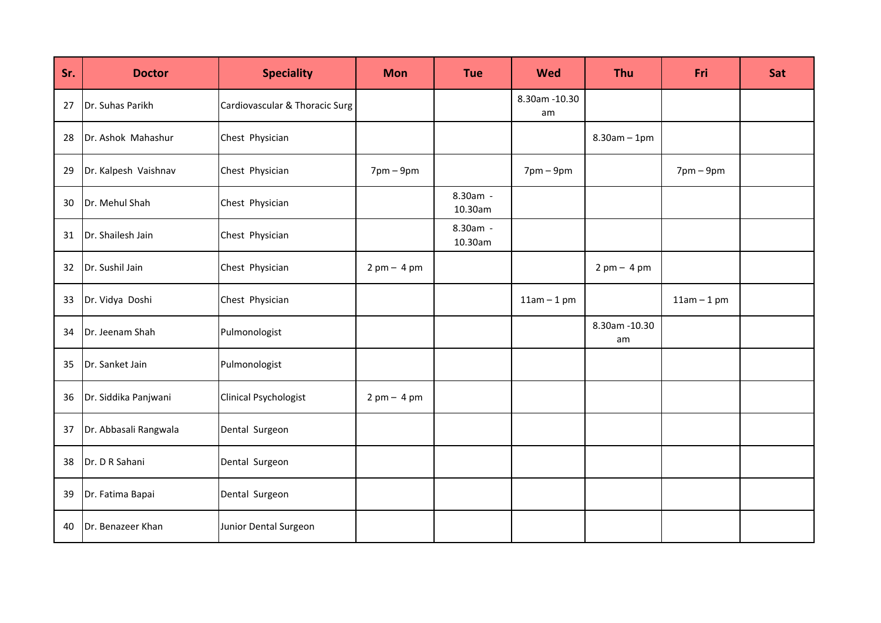| Sr. | <b>Doctor</b>         | <b>Speciality</b>              | <b>Mon</b>      | <b>Tue</b>          | <b>Wed</b>           | <b>Thu</b>           | Fri             | Sat |
|-----|-----------------------|--------------------------------|-----------------|---------------------|----------------------|----------------------|-----------------|-----|
| 27  | Dr. Suhas Parikh      | Cardiovascular & Thoracic Surg |                 |                     | 8.30am - 10.30<br>am |                      |                 |     |
| 28  | Dr. Ashok Mahashur    | Chest Physician                |                 |                     |                      | $8.30$ am $-1$ pm    |                 |     |
| 29  | Dr. Kalpesh Vaishnav  | Chest Physician                | $7$ pm – $9$ pm |                     | $7$ pm $-9$ pm       |                      | $7$ pm – $9$ pm |     |
| 30  | Dr. Mehul Shah        | Chest Physician                |                 | 8.30am -<br>10.30am |                      |                      |                 |     |
| 31  | Dr. Shailesh Jain     | Chest Physician                |                 | 8.30am -<br>10.30am |                      |                      |                 |     |
| 32  | Dr. Sushil Jain       | Chest Physician                | $2pm - 4pm$     |                     |                      | $2pm - 4pm$          |                 |     |
| 33  | Dr. Vidya Doshi       | Chest Physician                |                 |                     | $11am - 1pm$         |                      | $11am - 1pm$    |     |
| 34  | Dr. Jeenam Shah       | Pulmonologist                  |                 |                     |                      | 8.30am - 10.30<br>am |                 |     |
| 35  | Dr. Sanket Jain       | Pulmonologist                  |                 |                     |                      |                      |                 |     |
| 36  | Dr. Siddika Panjwani  | <b>Clinical Psychologist</b>   | $2pm - 4pm$     |                     |                      |                      |                 |     |
| 37  | Dr. Abbasali Rangwala | Dental Surgeon                 |                 |                     |                      |                      |                 |     |
| 38  | Dr. D R Sahani        | Dental Surgeon                 |                 |                     |                      |                      |                 |     |
| 39  | Dr. Fatima Bapai      | Dental Surgeon                 |                 |                     |                      |                      |                 |     |
| 40  | Dr. Benazeer Khan     | Junior Dental Surgeon          |                 |                     |                      |                      |                 |     |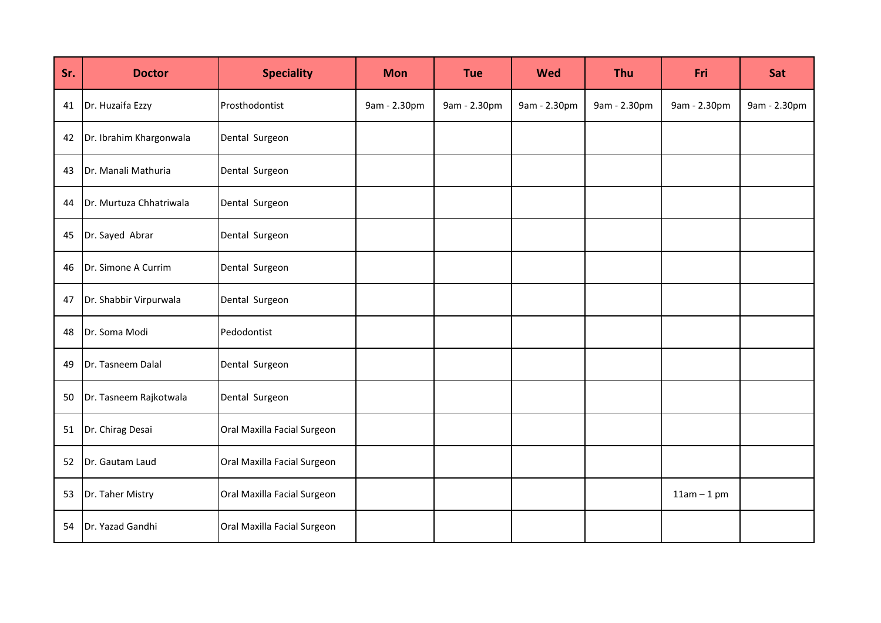| Sr. | <b>Doctor</b>           | <b>Speciality</b>           | <b>Mon</b>   | <b>Tue</b>   | <b>Wed</b>   | <b>Thu</b>   | Fri          | Sat          |
|-----|-------------------------|-----------------------------|--------------|--------------|--------------|--------------|--------------|--------------|
| 41  | Dr. Huzaifa Ezzy        | Prosthodontist              | 9am - 2.30pm | 9am - 2.30pm | 9am - 2.30pm | 9am - 2.30pm | 9am - 2.30pm | 9am - 2.30pm |
| 42  | Dr. Ibrahim Khargonwala | Dental Surgeon              |              |              |              |              |              |              |
| 43  | Dr. Manali Mathuria     | Dental Surgeon              |              |              |              |              |              |              |
| 44  | Dr. Murtuza Chhatriwala | Dental Surgeon              |              |              |              |              |              |              |
| 45  | Dr. Sayed Abrar         | Dental Surgeon              |              |              |              |              |              |              |
| 46  | Dr. Simone A Currim     | Dental Surgeon              |              |              |              |              |              |              |
| 47  | Dr. Shabbir Virpurwala  | Dental Surgeon              |              |              |              |              |              |              |
| 48  | Dr. Soma Modi           | Pedodontist                 |              |              |              |              |              |              |
| 49  | Dr. Tasneem Dalal       | Dental Surgeon              |              |              |              |              |              |              |
| 50  | Dr. Tasneem Rajkotwala  | Dental Surgeon              |              |              |              |              |              |              |
| 51  | Dr. Chirag Desai        | Oral Maxilla Facial Surgeon |              |              |              |              |              |              |
| 52  | Dr. Gautam Laud         | Oral Maxilla Facial Surgeon |              |              |              |              |              |              |
| 53  | Dr. Taher Mistry        | Oral Maxilla Facial Surgeon |              |              |              |              | $11am - 1pm$ |              |
| 54  | Dr. Yazad Gandhi        | Oral Maxilla Facial Surgeon |              |              |              |              |              |              |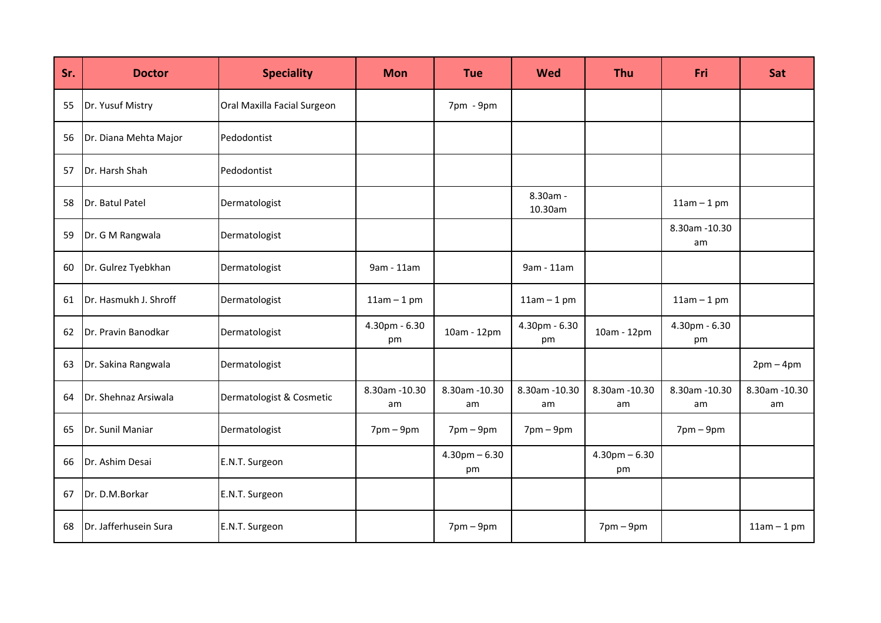| Sr. | <b>Doctor</b>         | <b>Speciality</b>           | <b>Mon</b>           | <b>Tue</b>              | <b>Wed</b>          | <b>Thu</b>                  | <b>Fri</b>           | Sat                 |
|-----|-----------------------|-----------------------------|----------------------|-------------------------|---------------------|-----------------------------|----------------------|---------------------|
| 55  | Dr. Yusuf Mistry      | Oral Maxilla Facial Surgeon |                      | 7pm - 9pm               |                     |                             |                      |                     |
| 56  | Dr. Diana Mehta Major | Pedodontist                 |                      |                         |                     |                             |                      |                     |
| 57  | Dr. Harsh Shah        | Pedodontist                 |                      |                         |                     |                             |                      |                     |
| 58  | Dr. Batul Patel       | Dermatologist               |                      |                         | 8.30am -<br>10.30am |                             | $11am - 1pm$         |                     |
| 59  | Dr. G M Rangwala      | Dermatologist               |                      |                         |                     |                             | 8.30am - 10.30<br>am |                     |
| 60  | Dr. Gulrez Tyebkhan   | Dermatologist               | 9am - 11am           |                         | 9am - 11am          |                             |                      |                     |
| 61  | Dr. Hasmukh J. Shroff | Dermatologist               | $11am - 1pm$         |                         | $11am - 1pm$        |                             | $11am - 1pm$         |                     |
| 62  | Dr. Pravin Banodkar   | Dermatologist               | 4.30pm - 6.30<br>pm  | 10am - 12pm             | 4.30pm - 6.30<br>pm | 10am - 12pm                 | 4.30pm - 6.30<br>pm  |                     |
| 63  | Dr. Sakina Rangwala   | Dermatologist               |                      |                         |                     |                             |                      | $2pm-4pm$           |
| 64  | Dr. Shehnaz Arsiwala  | Dermatologist & Cosmetic    | 8.30am - 10.30<br>am | 8.30am - 10.30<br>am    | 8.30am -10.30<br>am | 8.30am - 10.30<br>am        | 8.30am - 10.30<br>am | 8.30am -10.30<br>am |
| 65  | Dr. Sunil Maniar      | Dermatologist               | $7$ pm – $9$ pm      | $7pm-9pm$               | $7$ pm – $9$ pm     |                             | $7$ pm – $9$ pm      |                     |
| 66  | Dr. Ashim Desai       | E.N.T. Surgeon              |                      | $4.30$ pm $-6.30$<br>pm |                     | $4.30$ pm $-6.30$<br>pm     |                      |                     |
| 67  | Dr. D.M.Borkar        | E.N.T. Surgeon              |                      |                         |                     |                             |                      |                     |
| 68  | Dr. Jafferhusein Sura | E.N.T. Surgeon              |                      | $7$ pm $-9$ pm          |                     | $7 \text{pm} - 9 \text{pm}$ |                      | $11am - 1pm$        |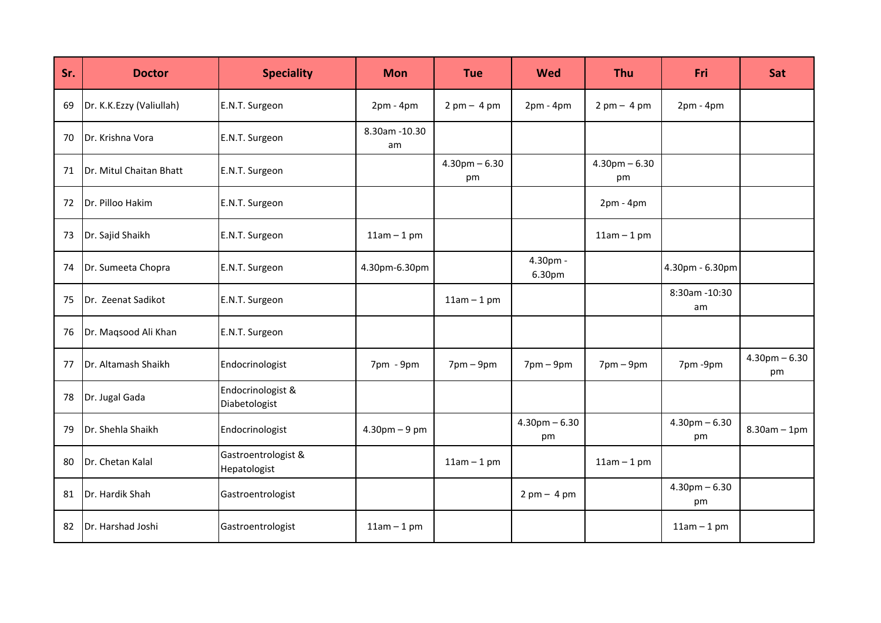| Sr. | <b>Doctor</b>            | <b>Speciality</b>                   | <b>Mon</b>           | <b>Tue</b>                    | <b>Wed</b>                    | <b>Thu</b>                    | <b>Fri</b>              | Sat                     |
|-----|--------------------------|-------------------------------------|----------------------|-------------------------------|-------------------------------|-------------------------------|-------------------------|-------------------------|
| 69  | Dr. K.K.Ezzy (Valiullah) | E.N.T. Surgeon                      | $2pm - 4pm$          | $2 \text{ pm} - 4 \text{ pm}$ | $2pm - 4pm$                   | $2 \text{ pm} - 4 \text{ pm}$ | $2pm - 4pm$             |                         |
| 70  | Dr. Krishna Vora         | E.N.T. Surgeon                      | 8.30am - 10.30<br>am |                               |                               |                               |                         |                         |
| 71  | Dr. Mitul Chaitan Bhatt  | E.N.T. Surgeon                      |                      | $4.30$ pm $-6.30$<br>pm       |                               | $4.30$ pm $-6.30$<br>pm       |                         |                         |
| 72  | Dr. Pilloo Hakim         | E.N.T. Surgeon                      |                      |                               |                               | $2pm - 4pm$                   |                         |                         |
| 73  | Dr. Sajid Shaikh         | E.N.T. Surgeon                      | $11am - 1pm$         |                               |                               | $11am - 1pm$                  |                         |                         |
| 74  | Dr. Sumeeta Chopra       | E.N.T. Surgeon                      | 4.30pm-6.30pm        |                               | 4.30pm -<br>6.30pm            |                               | 4.30pm - 6.30pm         |                         |
| 75  | Dr. Zeenat Sadikot       | E.N.T. Surgeon                      |                      | $11am - 1pm$                  |                               |                               | 8:30am -10:30<br>am     |                         |
| 76  | Dr. Maqsood Ali Khan     | E.N.T. Surgeon                      |                      |                               |                               |                               |                         |                         |
| 77  | Dr. Altamash Shaikh      | Endocrinologist                     | 7pm - 9pm            | $7pm-9pm$                     | $7$ pm – $9$ pm               | $7 \text{pm} - 9 \text{pm}$   | 7pm-9pm                 | $4.30$ pm $-6.30$<br>pm |
| 78  | Dr. Jugal Gada           | Endocrinologist &<br>Diabetologist  |                      |                               |                               |                               |                         |                         |
| 79  | Dr. Shehla Shaikh        | Endocrinologist                     | $4.30$ pm $-9$ pm    |                               | $4.30$ pm $-6.30$<br>pm       |                               | $4.30$ pm $-6.30$<br>pm | $8.30$ am - 1pm         |
| 80  | Dr. Chetan Kalal         | Gastroentrologist &<br>Hepatologist |                      | $11am - 1pm$                  |                               | $11am - 1pm$                  |                         |                         |
| 81  | Dr. Hardik Shah          | Gastroentrologist                   |                      |                               | $2 \text{ pm} - 4 \text{ pm}$ |                               | $4.30$ pm $-6.30$<br>pm |                         |
| 82  | Dr. Harshad Joshi        | Gastroentrologist                   | $11am - 1pm$         |                               |                               |                               | $11am - 1pm$            |                         |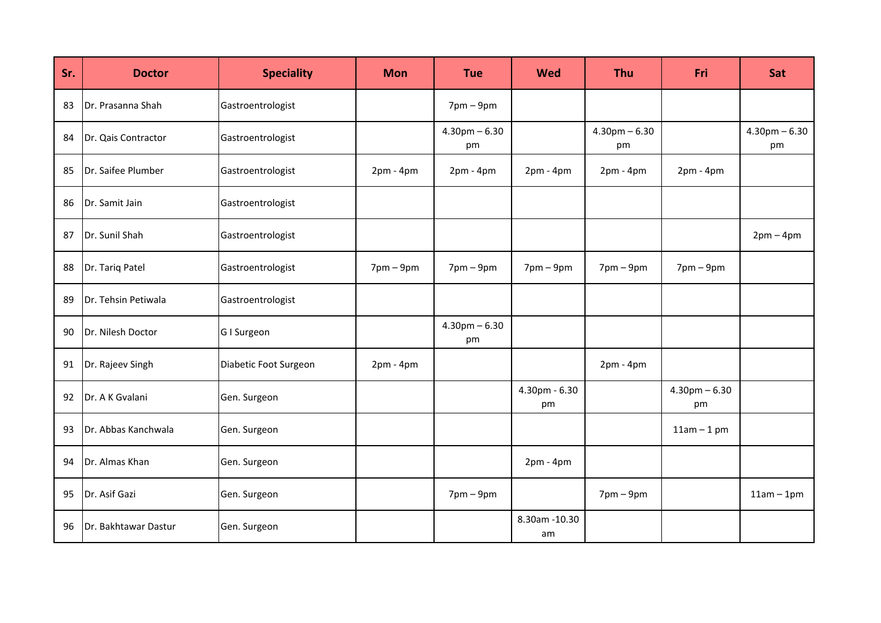| Sr. | <b>Doctor</b>        | <b>Speciality</b>     | <b>Mon</b>      | <b>Tue</b>              | <b>Wed</b>           | <b>Thu</b>              | Fri                     | Sat                     |
|-----|----------------------|-----------------------|-----------------|-------------------------|----------------------|-------------------------|-------------------------|-------------------------|
| 83  | Dr. Prasanna Shah    | Gastroentrologist     |                 | $7$ pm $-9$ pm          |                      |                         |                         |                         |
| 84  | Dr. Qais Contractor  | Gastroentrologist     |                 | $4.30$ pm $-6.30$<br>pm |                      | $4.30$ pm $-6.30$<br>pm |                         | $4.30$ pm $-6.30$<br>pm |
| 85  | Dr. Saifee Plumber   | Gastroentrologist     | $2pm - 4pm$     | $2pm - 4pm$             | $2pm - 4pm$          | $2pm - 4pm$             | $2pm - 4pm$             |                         |
| 86  | Dr. Samit Jain       | Gastroentrologist     |                 |                         |                      |                         |                         |                         |
| 87  | Dr. Sunil Shah       | Gastroentrologist     |                 |                         |                      |                         |                         | $2pm-4pm$               |
| 88  | Dr. Tariq Patel      | Gastroentrologist     | $7$ pm – $9$ pm | $7$ pm – $9$ pm         | $7$ pm – $9$ pm      | $7$ pm – $9$ pm         | $7pm-9pm$               |                         |
| 89  | Dr. Tehsin Petiwala  | Gastroentrologist     |                 |                         |                      |                         |                         |                         |
| 90  | Dr. Nilesh Doctor    | G I Surgeon           |                 | $4.30$ pm $-6.30$<br>pm |                      |                         |                         |                         |
| 91  | Dr. Rajeev Singh     | Diabetic Foot Surgeon | $2pm - 4pm$     |                         |                      | $2pm - 4pm$             |                         |                         |
| 92  | Dr. A K Gvalani      | Gen. Surgeon          |                 |                         | 4.30pm - 6.30<br>pm  |                         | $4.30$ pm $-6.30$<br>pm |                         |
| 93  | Dr. Abbas Kanchwala  | Gen. Surgeon          |                 |                         |                      |                         | $11am - 1pm$            |                         |
| 94  | Dr. Almas Khan       | Gen. Surgeon          |                 |                         | $2pm - 4pm$          |                         |                         |                         |
| 95  | Dr. Asif Gazi        | Gen. Surgeon          |                 | $7$ pm – $9$ pm         |                      | $7$ pm – $9$ pm         |                         | $11am - 1pm$            |
| 96  | Dr. Bakhtawar Dastur | Gen. Surgeon          |                 |                         | 8.30am - 10.30<br>am |                         |                         |                         |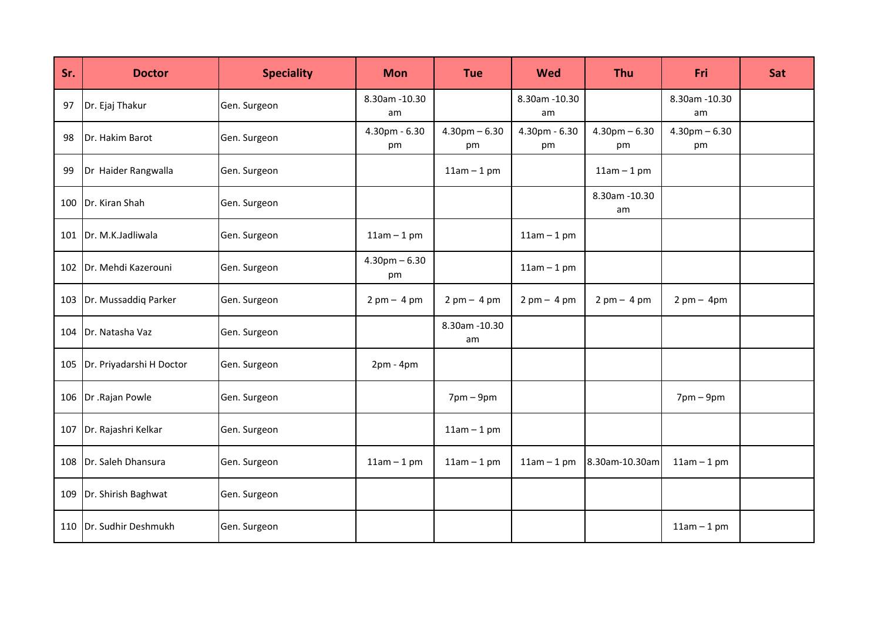| Sr. | <b>Doctor</b>            | <b>Speciality</b> | <b>Mon</b>              | <b>Tue</b>                    | <b>Wed</b>                    | Thu                           | Fri                           | Sat |
|-----|--------------------------|-------------------|-------------------------|-------------------------------|-------------------------------|-------------------------------|-------------------------------|-----|
| 97  | Dr. Ejaj Thakur          | Gen. Surgeon      | 8.30am - 10.30<br>am    |                               | 8.30am -10.30<br>am           |                               | 8.30am - 10.30<br>am          |     |
| 98  | Dr. Hakim Barot          | Gen. Surgeon      | 4.30pm - 6.30<br>pm     | $4.30$ pm $-6.30$<br>pm       | 4.30pm - 6.30<br>pm           | $4.30$ pm $-6.30$<br>pm       | $4.30$ pm $-6.30$<br>pm       |     |
| 99  | Dr Haider Rangwalla      | Gen. Surgeon      |                         | $11am - 1pm$                  |                               | $11am - 1pm$                  |                               |     |
| 100 | Dr. Kiran Shah           | Gen. Surgeon      |                         |                               |                               | 8.30am - 10.30<br>am          |                               |     |
| 101 | Dr. M.K.Jadliwala        | Gen. Surgeon      | $11am - 1pm$            |                               | $11am - 1pm$                  |                               |                               |     |
| 102 | Dr. Mehdi Kazerouni      | Gen. Surgeon      | $4.30$ pm $-6.30$<br>pm |                               | $11am - 1pm$                  |                               |                               |     |
| 103 | Dr. Mussaddiq Parker     | Gen. Surgeon      | $2pm - 4pm$             | $2 \text{ pm} - 4 \text{ pm}$ | $2 \text{ pm} - 4 \text{ pm}$ | $2 \text{ pm} - 4 \text{ pm}$ | $2 \text{ pm} - 4 \text{ pm}$ |     |
| 104 | Dr. Natasha Vaz          | Gen. Surgeon      |                         | 8.30am - 10.30<br>am          |                               |                               |                               |     |
| 105 | Dr. Priyadarshi H Doctor | Gen. Surgeon      | $2pm - 4pm$             |                               |                               |                               |                               |     |
|     | 106   Dr . Rajan Powle   | Gen. Surgeon      |                         | $7$ pm – $9$ pm               |                               |                               | $7$ pm – $9$ pm               |     |
| 107 | Dr. Rajashri Kelkar      | Gen. Surgeon      |                         | $11am - 1pm$                  |                               |                               |                               |     |
| 108 | Dr. Saleh Dhansura       | Gen. Surgeon      | $11am - 1pm$            | $11am - 1pm$                  | $11am - 1pm$                  | 8.30am-10.30am                | $11am - 1pm$                  |     |
| 109 | Dr. Shirish Baghwat      | Gen. Surgeon      |                         |                               |                               |                               |                               |     |
| 110 | Dr. Sudhir Deshmukh      | Gen. Surgeon      |                         |                               |                               |                               | $11am - 1pm$                  |     |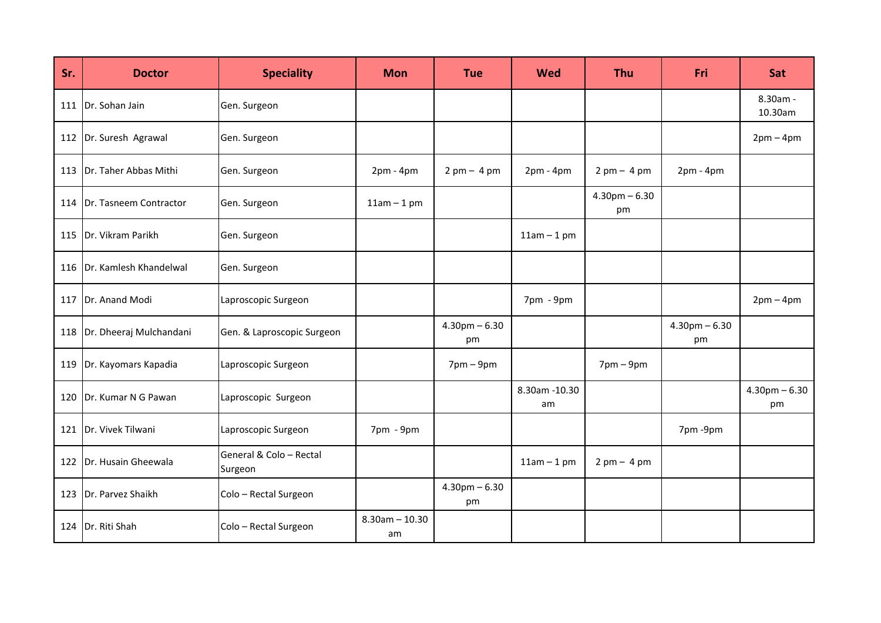| Sr. | <b>Doctor</b>           | <b>Speciality</b>                  | <b>Mon</b>              | <b>Tue</b>                    | <b>Wed</b>           | <b>Thu</b>              | Fri                     | Sat                     |
|-----|-------------------------|------------------------------------|-------------------------|-------------------------------|----------------------|-------------------------|-------------------------|-------------------------|
| 111 | Dr. Sohan Jain          | Gen. Surgeon                       |                         |                               |                      |                         |                         | 8.30am -<br>10.30am     |
| 112 | Dr. Suresh Agrawal      | Gen. Surgeon                       |                         |                               |                      |                         |                         | $2pm-4pm$               |
| 113 | Dr. Taher Abbas Mithi   | Gen. Surgeon                       | $2pm - 4pm$             | $2 \text{ pm} - 4 \text{ pm}$ | $2pm - 4pm$          | $2pm - 4pm$             | $2pm - 4pm$             |                         |
| 114 | Dr. Tasneem Contractor  | Gen. Surgeon                       | $11am - 1pm$            |                               |                      | $4.30$ pm $-6.30$<br>pm |                         |                         |
| 115 | Dr. Vikram Parikh       | Gen. Surgeon                       |                         |                               | $11am - 1pm$         |                         |                         |                         |
| 116 | Dr. Kamlesh Khandelwal  | Gen. Surgeon                       |                         |                               |                      |                         |                         |                         |
| 117 | Dr. Anand Modi          | Laproscopic Surgeon                |                         |                               | 7pm - 9pm            |                         |                         | $2pm-4pm$               |
| 118 | Dr. Dheeraj Mulchandani | Gen. & Laproscopic Surgeon         |                         | $4.30$ pm $-6.30$<br>pm       |                      |                         | $4.30$ pm $-6.30$<br>pm |                         |
| 119 | Dr. Kayomars Kapadia    | Laproscopic Surgeon                |                         | $7$ pm – $9$ pm               |                      | $7$ pm – $9$ pm         |                         |                         |
| 120 | Dr. Kumar N G Pawan     | Laproscopic Surgeon                |                         |                               | 8.30am - 10.30<br>am |                         |                         | $4.30$ pm $-6.30$<br>pm |
| 121 | Dr. Vivek Tilwani       | Laproscopic Surgeon                | 7pm - 9pm               |                               |                      |                         | 7pm-9pm                 |                         |
| 122 | Dr. Husain Gheewala     | General & Colo - Rectal<br>Surgeon |                         |                               | $11am - 1pm$         | $2pm - 4pm$             |                         |                         |
| 123 | Dr. Parvez Shaikh       | Colo - Rectal Surgeon              |                         | $4.30$ pm $-6.30$<br>pm       |                      |                         |                         |                         |
| 124 | Dr. Riti Shah           | Colo - Rectal Surgeon              | $8.30$ am - 10.30<br>am |                               |                      |                         |                         |                         |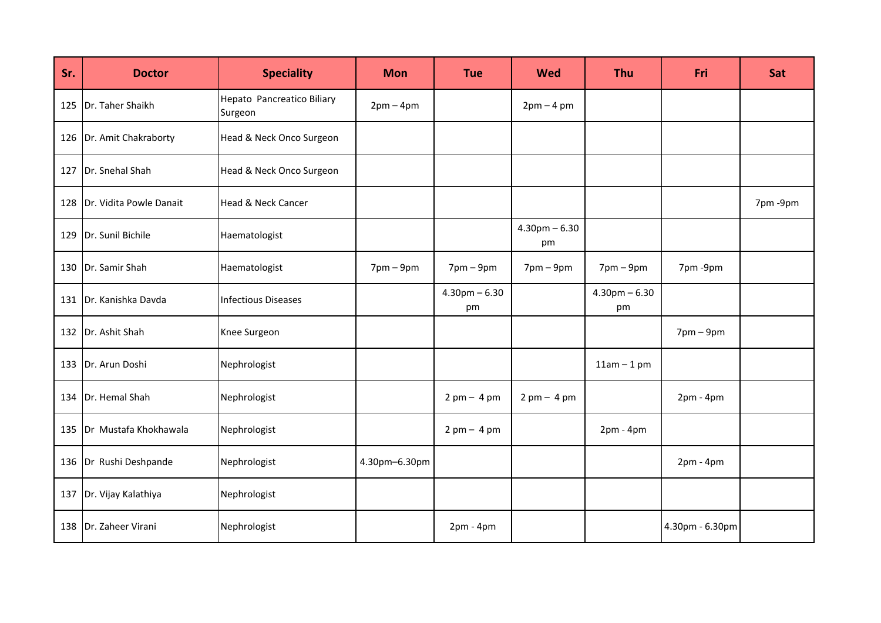| Sr. | <b>Doctor</b>            | <b>Speciality</b>                     | <b>Mon</b>     | <b>Tue</b>                    | <b>Wed</b>                    | <b>Thu</b>                  | Fri                         | Sat     |
|-----|--------------------------|---------------------------------------|----------------|-------------------------------|-------------------------------|-----------------------------|-----------------------------|---------|
| 125 | Dr. Taher Shaikh         | Hepato Pancreatico Biliary<br>Surgeon | $2pm-4pm$      |                               | $2pm - 4pm$                   |                             |                             |         |
|     | 126 Dr. Amit Chakraborty | Head & Neck Onco Surgeon              |                |                               |                               |                             |                             |         |
| 127 | Dr. Snehal Shah          | Head & Neck Onco Surgeon              |                |                               |                               |                             |                             |         |
| 128 | Dr. Vidita Powle Danait  | <b>Head &amp; Neck Cancer</b>         |                |                               |                               |                             |                             | 7pm-9pm |
| 129 | Dr. Sunil Bichile        | Haematologist                         |                |                               | $4.30$ pm $-6.30$<br>pm       |                             |                             |         |
| 130 | Dr. Samir Shah           | Haematologist                         | $7$ pm $-9$ pm | $7pm-9pm$                     | $7 \text{pm} - 9 \text{pm}$   | $7 \text{pm} - 9 \text{pm}$ | 7pm-9pm                     |         |
| 131 | Dr. Kanishka Davda       | <b>Infectious Diseases</b>            |                | $4.30$ pm $-6.30$<br>pm       |                               | $4.30$ pm $-6.30$<br>pm     |                             |         |
| 132 | Dr. Ashit Shah           | Knee Surgeon                          |                |                               |                               |                             | $7 \text{pm} - 9 \text{pm}$ |         |
| 133 | Dr. Arun Doshi           | Nephrologist                          |                |                               |                               | $11am - 1pm$                |                             |         |
| 134 | Dr. Hemal Shah           | Nephrologist                          |                | $2 \text{ pm} - 4 \text{ pm}$ | $2 \text{ pm} - 4 \text{ pm}$ |                             | $2pm - 4pm$                 |         |
| 135 | Dr Mustafa Khokhawala    | Nephrologist                          |                | $2 \text{ pm} - 4 \text{ pm}$ |                               | $2pm - 4pm$                 |                             |         |
| 136 | Dr Rushi Deshpande       | Nephrologist                          | 4.30pm-6.30pm  |                               |                               |                             | $2pm - 4pm$                 |         |
| 137 | Dr. Vijay Kalathiya      | Nephrologist                          |                |                               |                               |                             |                             |         |
| 138 | Dr. Zaheer Virani        | Nephrologist                          |                | $2pm - 4pm$                   |                               |                             | 4.30pm - 6.30pm             |         |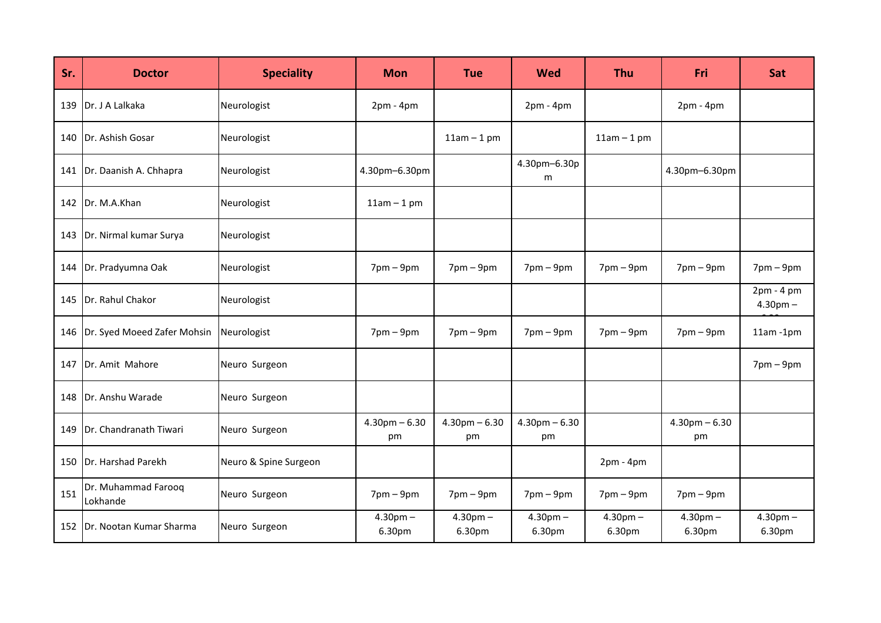| Sr. | <b>Doctor</b>                   | <b>Speciality</b>     | <b>Mon</b>              | <b>Tue</b>              | Wed                     | <b>Thu</b>           | Fri                     | Sat                      |
|-----|---------------------------------|-----------------------|-------------------------|-------------------------|-------------------------|----------------------|-------------------------|--------------------------|
| 139 | Dr. J A Lalkaka                 | Neurologist           | $2pm - 4pm$             |                         | $2pm - 4pm$             |                      | $2pm - 4pm$             |                          |
| 140 | Dr. Ashish Gosar                | Neurologist           |                         | $11am - 1pm$            |                         | $11am - 1pm$         |                         |                          |
| 141 | Dr. Daanish A. Chhapra          | Neurologist           | 4.30pm-6.30pm           |                         | 4.30pm-6.30p<br>m       |                      | 4.30pm-6.30pm           |                          |
| 142 | Dr. M.A.Khan                    | Neurologist           | $11am - 1pm$            |                         |                         |                      |                         |                          |
| 143 | Dr. Nirmal kumar Surya          | Neurologist           |                         |                         |                         |                      |                         |                          |
| 144 | Dr. Pradyumna Oak               | Neurologist           | $7$ pm – $9$ pm         | $7pm-9pm$               | $7$ pm – $9$ pm         | $7$ pm $-9$ pm       | $7$ pm – $9$ pm         | $7$ pm – $9$ pm          |
| 145 | Dr. Rahul Chakor                | Neurologist           |                         |                         |                         |                      |                         | 2pm - 4 pm<br>$4.30pm -$ |
| 146 | Dr. Syed Moeed Zafer Mohsin     | Neurologist           | $7$ pm $-9$ pm          | $7pm-9pm$               | $7$ pm $-9$ pm          | $7$ pm $-9$ pm       | $7$ pm $-9$ pm          | $11am - 1pm$             |
| 147 | Dr. Amit Mahore                 | Neuro Surgeon         |                         |                         |                         |                      |                         | $7$ pm – $9$ pm          |
| 148 | Dr. Anshu Warade                | Neuro Surgeon         |                         |                         |                         |                      |                         |                          |
| 149 | Dr. Chandranath Tiwari          | Neuro Surgeon         | $4.30$ pm $-6.30$<br>pm | $4.30$ pm $-6.30$<br>pm | $4.30$ pm $-6.30$<br>pm |                      | $4.30$ pm $-6.30$<br>pm |                          |
| 150 | Dr. Harshad Parekh              | Neuro & Spine Surgeon |                         |                         |                         | $2pm - 4pm$          |                         |                          |
| 151 | Dr. Muhammad Farooq<br>Lokhande | Neuro Surgeon         | $7$ pm – $9$ pm         | $7pm-9pm$               | $7$ pm – $9$ pm         | $7$ pm – $9$ pm      | $7$ pm – $9$ pm         |                          |
| 152 | Dr. Nootan Kumar Sharma         | Neuro Surgeon         | $4.30pm -$<br>6.30pm    | $4.30pm -$<br>6.30pm    | $4.30pm -$<br>6.30pm    | $4.30pm -$<br>6.30pm | $4.30pm -$<br>6.30pm    | $4.30pm -$<br>6.30pm     |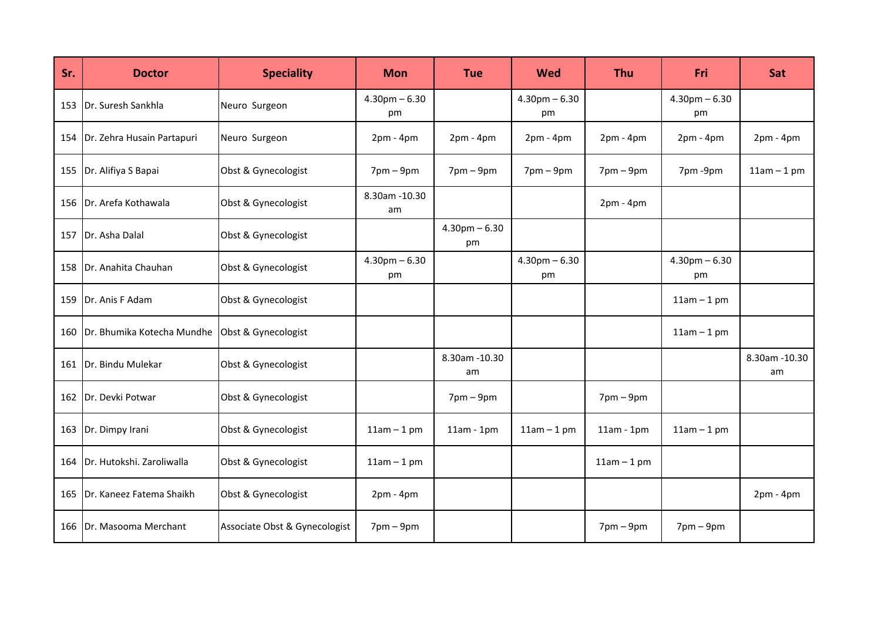| Sr. | <b>Doctor</b>              | <b>Speciality</b>             | <b>Mon</b>              | <b>Tue</b>                  | <b>Wed</b>              | <b>Thu</b>                  | Fri                     | Sat                 |
|-----|----------------------------|-------------------------------|-------------------------|-----------------------------|-------------------------|-----------------------------|-------------------------|---------------------|
| 153 | Dr. Suresh Sankhla         | Neuro Surgeon                 | $4.30$ pm $-6.30$<br>pm |                             | $4.30$ pm $-6.30$<br>pm |                             | $4.30$ pm $-6.30$<br>pm |                     |
| 154 | Dr. Zehra Husain Partapuri | Neuro Surgeon                 | $2pm - 4pm$             | $2pm - 4pm$                 | $2pm - 4pm$             | $2pm - 4pm$                 | $2pm - 4pm$             | $2pm - 4pm$         |
| 155 | Dr. Alifiya S Bapai        | Obst & Gynecologist           | $7$ pm – $9$ pm         | $7$ pm – $9$ pm             | $7$ pm – $9$ pm         | $7$ pm – $9$ pm             | 7pm-9pm                 | $11am - 1pm$        |
| 156 | Dr. Arefa Kothawala        | Obst & Gynecologist           | 8.30am - 10.30<br>am    |                             |                         | $2pm - 4pm$                 |                         |                     |
| 157 | Dr. Asha Dalal             | Obst & Gynecologist           |                         | $4.30$ pm $-6.30$<br>pm     |                         |                             |                         |                     |
|     | 158   Dr. Anahita Chauhan  | Obst & Gynecologist           | $4.30$ pm $-6.30$<br>pm |                             | $4.30$ pm $-6.30$<br>pm |                             | $4.30$ pm $-6.30$<br>pm |                     |
| 159 | Dr. Anis F Adam            | Obst & Gynecologist           |                         |                             |                         |                             | $11am - 1pm$            |                     |
| 160 | Dr. Bhumika Kotecha Mundhe | Obst & Gynecologist           |                         |                             |                         |                             | $11am - 1pm$            |                     |
| 161 | Dr. Bindu Mulekar          | Obst & Gynecologist           |                         | 8.30am - 10.30<br>am        |                         |                             |                         | 8.30am -10.30<br>am |
| 162 | Dr. Devki Potwar           | Obst & Gynecologist           |                         | $7 \text{pm} - 9 \text{pm}$ |                         | $7 \text{pm} - 9 \text{pm}$ |                         |                     |
| 163 | Dr. Dimpy Irani            | Obst & Gynecologist           | $11am - 1pm$            | $11am - 1pm$                | $11am - 1pm$            | $11am - 1pm$                | $11am - 1pm$            |                     |
| 164 | Dr. Hutokshi. Zaroliwalla  | Obst & Gynecologist           | $11am - 1pm$            |                             |                         | $11am - 1pm$                |                         |                     |
| 165 | Dr. Kaneez Fatema Shaikh   | Obst & Gynecologist           | $2pm - 4pm$             |                             |                         |                             |                         | $2pm - 4pm$         |
| 166 | Dr. Masooma Merchant       | Associate Obst & Gynecologist | $7$ pm $-9$ pm          |                             |                         | $7 \text{pm} - 9 \text{pm}$ | $7$ pm $-9$ pm          |                     |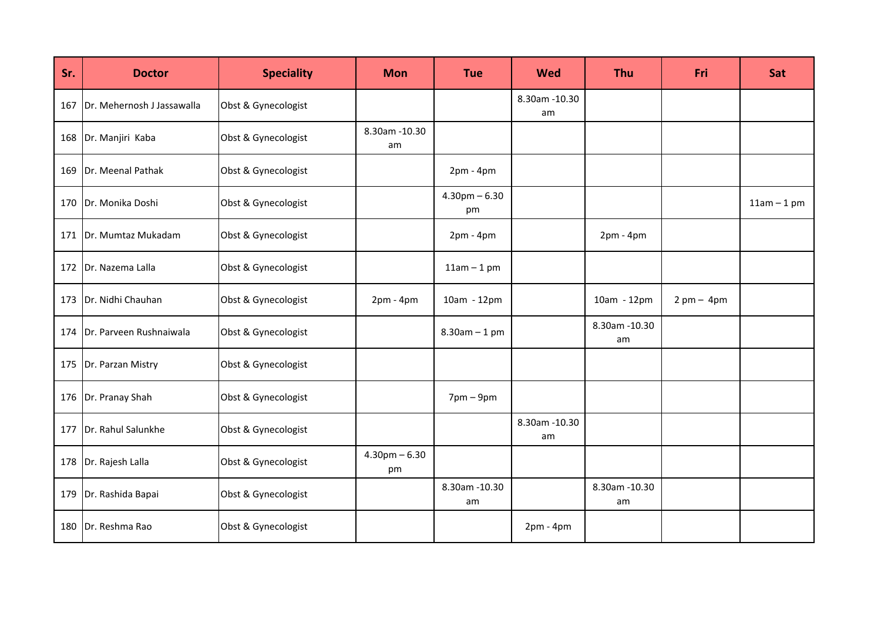| Sr. | <b>Doctor</b>              | <b>Speciality</b>   | <b>Mon</b>              | <b>Tue</b>              | Wed                  | <b>Thu</b>           | Fri                           | Sat          |
|-----|----------------------------|---------------------|-------------------------|-------------------------|----------------------|----------------------|-------------------------------|--------------|
| 167 | Dr. Mehernosh J Jassawalla | Obst & Gynecologist |                         |                         | 8.30am - 10.30<br>am |                      |                               |              |
| 168 | Dr. Manjiri Kaba           | Obst & Gynecologist | 8.30am - 10.30<br>am    |                         |                      |                      |                               |              |
| 169 | Dr. Meenal Pathak          | Obst & Gynecologist |                         | $2pm - 4pm$             |                      |                      |                               |              |
| 170 | Dr. Monika Doshi           | Obst & Gynecologist |                         | $4.30$ pm $-6.30$<br>pm |                      |                      |                               | $11am - 1pm$ |
| 171 | Dr. Mumtaz Mukadam         | Obst & Gynecologist |                         | $2pm - 4pm$             |                      | $2pm - 4pm$          |                               |              |
| 172 | Dr. Nazema Lalla           | Obst & Gynecologist |                         | $11am - 1pm$            |                      |                      |                               |              |
| 173 | Dr. Nidhi Chauhan          | Obst & Gynecologist | $2pm - 4pm$             | 10am - 12pm             |                      | 10am - 12pm          | $2 \text{ pm} - 4 \text{ pm}$ |              |
| 174 | Dr. Parveen Rushnaiwala    | Obst & Gynecologist |                         | $8.30$ am $-1$ pm       |                      | 8.30am - 10.30<br>am |                               |              |
| 175 | Dr. Parzan Mistry          | Obst & Gynecologist |                         |                         |                      |                      |                               |              |
| 176 | Dr. Pranay Shah            | Obst & Gynecologist |                         | $7$ pm – $9$ pm         |                      |                      |                               |              |
| 177 | Dr. Rahul Salunkhe         | Obst & Gynecologist |                         |                         | 8.30am - 10.30<br>am |                      |                               |              |
| 178 | Dr. Rajesh Lalla           | Obst & Gynecologist | $4.30$ pm $-6.30$<br>pm |                         |                      |                      |                               |              |
| 179 | Dr. Rashida Bapai          | Obst & Gynecologist |                         | 8.30am - 10.30<br>am    |                      | 8.30am - 10.30<br>am |                               |              |
| 180 | Dr. Reshma Rao             | Obst & Gynecologist |                         |                         | $2pm - 4pm$          |                      |                               |              |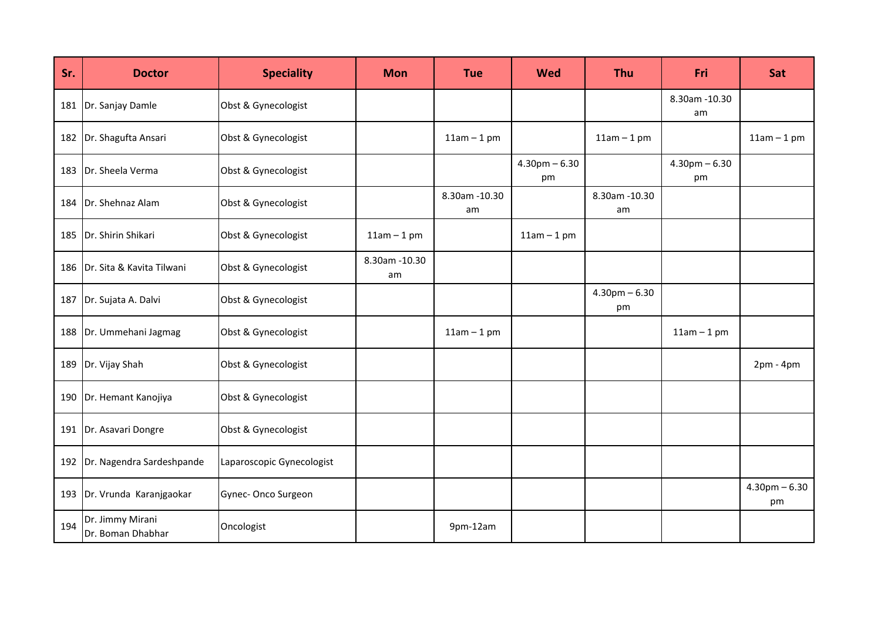| Sr. | <b>Doctor</b>                         | <b>Speciality</b>         | <b>Mon</b>           | <b>Tue</b>           | <b>Wed</b>              | <b>Thu</b>              | <b>Fri</b>              | Sat                     |
|-----|---------------------------------------|---------------------------|----------------------|----------------------|-------------------------|-------------------------|-------------------------|-------------------------|
| 181 | Dr. Sanjay Damle                      | Obst & Gynecologist       |                      |                      |                         |                         | 8.30am - 10.30<br>am    |                         |
| 182 | Dr. Shagufta Ansari                   | Obst & Gynecologist       |                      | $11am - 1pm$         |                         | $11am - 1pm$            |                         | $11am - 1pm$            |
|     | 183   Dr. Sheela Verma                | Obst & Gynecologist       |                      |                      | $4.30$ pm $-6.30$<br>pm |                         | $4.30$ pm $-6.30$<br>pm |                         |
| 184 | Dr. Shehnaz Alam                      | Obst & Gynecologist       |                      | 8.30am - 10.30<br>am |                         | 8.30am - 10.30<br>am    |                         |                         |
| 185 | Dr. Shirin Shikari                    | Obst & Gynecologist       | $11am - 1pm$         |                      | $11am - 1pm$            |                         |                         |                         |
|     | 186 Dr. Sita & Kavita Tilwani         | Obst & Gynecologist       | 8.30am - 10.30<br>am |                      |                         |                         |                         |                         |
| 187 | Dr. Sujata A. Dalvi                   | Obst & Gynecologist       |                      |                      |                         | $4.30$ pm $-6.30$<br>pm |                         |                         |
| 188 | Dr. Ummehani Jagmag                   | Obst & Gynecologist       |                      | $11am - 1pm$         |                         |                         | $11am - 1pm$            |                         |
| 189 | Dr. Vijay Shah                        | Obst & Gynecologist       |                      |                      |                         |                         |                         | $2pm - 4pm$             |
| 190 | Dr. Hemant Kanojiya                   | Obst & Gynecologist       |                      |                      |                         |                         |                         |                         |
| 191 | Dr. Asavari Dongre                    | Obst & Gynecologist       |                      |                      |                         |                         |                         |                         |
| 192 | Dr. Nagendra Sardeshpande             | Laparoscopic Gynecologist |                      |                      |                         |                         |                         |                         |
| 193 | Dr. Vrunda Karanjgaokar               | Gynec-Onco Surgeon        |                      |                      |                         |                         |                         | $4.30$ pm $-6.30$<br>pm |
| 194 | Dr. Jimmy Mirani<br>Dr. Boman Dhabhar | Oncologist                |                      | 9pm-12am             |                         |                         |                         |                         |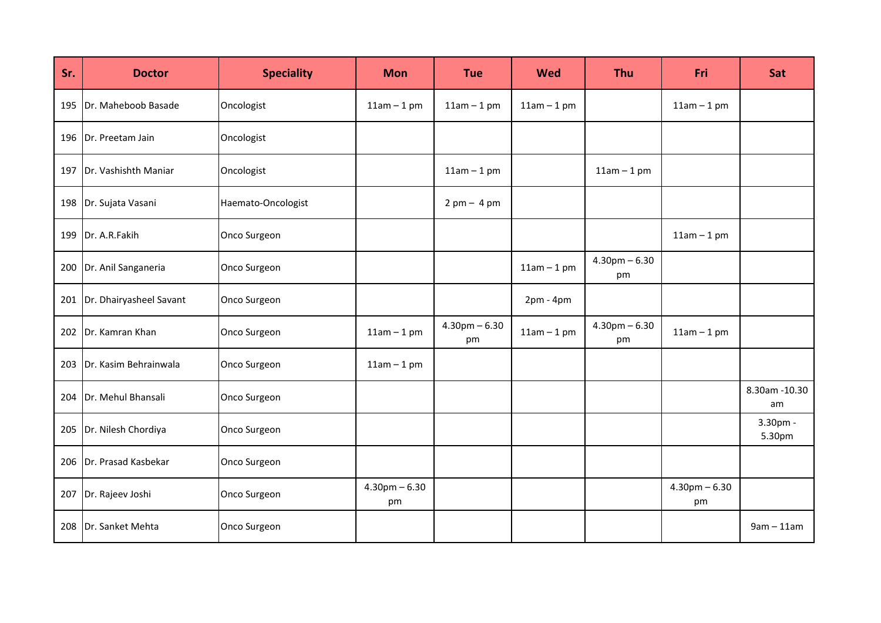| Sr. | <b>Doctor</b>           | <b>Speciality</b>  | <b>Mon</b>              | <b>Tue</b>                    | <b>Wed</b>   | <b>Thu</b>              | Fri                     | Sat                 |
|-----|-------------------------|--------------------|-------------------------|-------------------------------|--------------|-------------------------|-------------------------|---------------------|
| 195 | Dr. Maheboob Basade     | Oncologist         | $11am - 1pm$            | $11am - 1pm$                  | $11am - 1pm$ |                         | $11am - 1pm$            |                     |
|     | 196   Dr. Preetam Jain  | Oncologist         |                         |                               |              |                         |                         |                     |
| 197 | Dr. Vashishth Maniar    | Oncologist         |                         | $11am - 1pm$                  |              | $11am - 1pm$            |                         |                     |
| 198 | Dr. Sujata Vasani       | Haemato-Oncologist |                         | $2 \text{ pm} - 4 \text{ pm}$ |              |                         |                         |                     |
| 199 | Dr. A.R.Fakih           | Onco Surgeon       |                         |                               |              |                         | $11am - 1pm$            |                     |
| 200 | Dr. Anil Sanganeria     | Onco Surgeon       |                         |                               | $11am - 1pm$ | $4.30$ pm $-6.30$<br>pm |                         |                     |
| 201 | Dr. Dhairyasheel Savant | Onco Surgeon       |                         |                               | $2pm - 4pm$  |                         |                         |                     |
| 202 | Dr. Kamran Khan         | Onco Surgeon       | $11am - 1pm$            | $4.30$ pm $-6.30$<br>pm       | $11am - 1pm$ | $4.30$ pm $-6.30$<br>pm | $11am - 1pm$            |                     |
| 203 | Dr. Kasim Behrainwala   | Onco Surgeon       | $11am - 1pm$            |                               |              |                         |                         |                     |
| 204 | Dr. Mehul Bhansali      | Onco Surgeon       |                         |                               |              |                         |                         | 8.30am -10.30<br>am |
| 205 | Dr. Nilesh Chordiya     | Onco Surgeon       |                         |                               |              |                         |                         | 3.30pm -<br>5.30pm  |
| 206 | Dr. Prasad Kasbekar     | Onco Surgeon       |                         |                               |              |                         |                         |                     |
| 207 | Dr. Rajeev Joshi        | Onco Surgeon       | $4.30$ pm $-6.30$<br>pm |                               |              |                         | $4.30$ pm $-6.30$<br>pm |                     |
| 208 | Dr. Sanket Mehta        | Onco Surgeon       |                         |                               |              |                         |                         | $9am - 11am$        |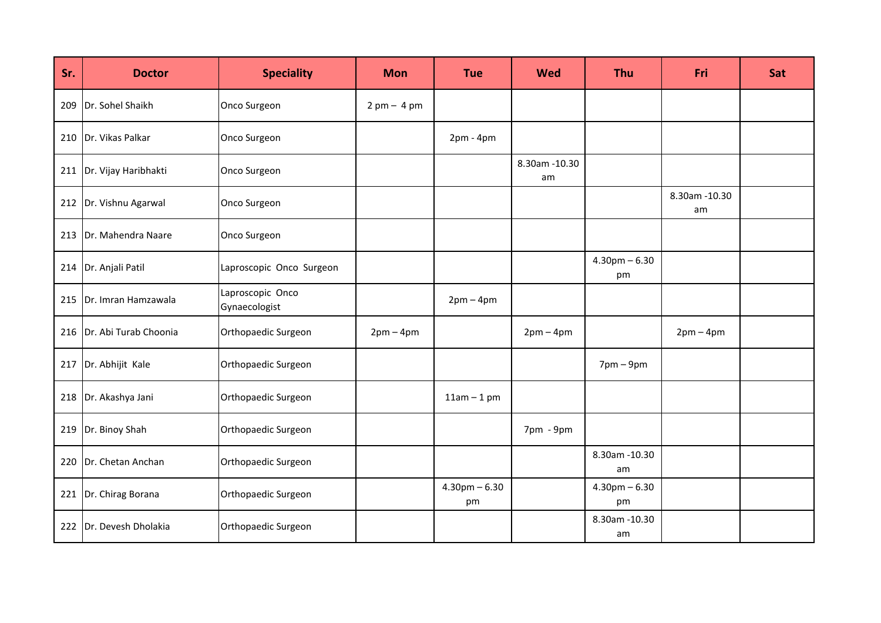| Sr. | <b>Doctor</b>              | <b>Speciality</b>                 | <b>Mon</b>  | <b>Tue</b>              | <b>Wed</b>           | <b>Thu</b>              | Fri                 | Sat |
|-----|----------------------------|-----------------------------------|-------------|-------------------------|----------------------|-------------------------|---------------------|-----|
|     | 209 Dr. Sohel Shaikh       | Onco Surgeon                      | $2pm - 4pm$ |                         |                      |                         |                     |     |
|     | 210   Dr. Vikas Palkar     | Onco Surgeon                      |             | $2pm - 4pm$             |                      |                         |                     |     |
|     | 211   Dr. Vijay Haribhakti | Onco Surgeon                      |             |                         | 8.30am - 10.30<br>am |                         |                     |     |
|     | 212 Dr. Vishnu Agarwal     | Onco Surgeon                      |             |                         |                      |                         | 8.30am -10.30<br>am |     |
|     | 213 Dr. Mahendra Naare     | Onco Surgeon                      |             |                         |                      |                         |                     |     |
|     | 214   Dr. Anjali Patil     | Laproscopic Onco Surgeon          |             |                         |                      | $4.30$ pm $-6.30$<br>pm |                     |     |
|     | 215 Dr. Imran Hamzawala    | Laproscopic Onco<br>Gynaecologist |             | $2pm-4pm$               |                      |                         |                     |     |
|     | 216 Dr. Abi Turab Choonia  | Orthopaedic Surgeon               | $2pm-4pm$   |                         | $2pm-4pm$            |                         | $2pm-4pm$           |     |
|     | 217 Dr. Abhijit Kale       | Orthopaedic Surgeon               |             |                         |                      | $7$ pm – $9$ pm         |                     |     |
|     | 218 Dr. Akashya Jani       | Orthopaedic Surgeon               |             | $11am - 1pm$            |                      |                         |                     |     |
|     | 219 Dr. Binoy Shah         | Orthopaedic Surgeon               |             |                         | 7pm - 9pm            |                         |                     |     |
|     | 220 Dr. Chetan Anchan      | Orthopaedic Surgeon               |             |                         |                      | 8.30am - 10.30<br>am    |                     |     |
|     | 221 Dr. Chirag Borana      | Orthopaedic Surgeon               |             | $4.30$ pm $-6.30$<br>pm |                      | $4.30$ pm $-6.30$<br>pm |                     |     |
|     | 222   Dr. Devesh Dholakia  | Orthopaedic Surgeon               |             |                         |                      | 8.30am - 10.30<br>am    |                     |     |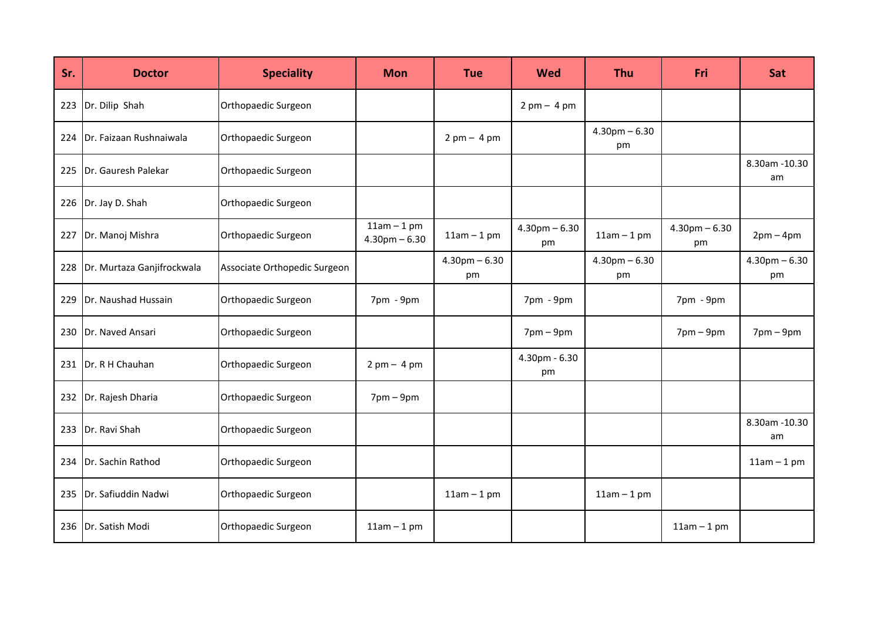| Sr. | <b>Doctor</b>              | <b>Speciality</b>            | <b>Mon</b>                        | <b>Tue</b>                    | Wed                           | <b>Thu</b>              | Fri                         | Sat                     |
|-----|----------------------------|------------------------------|-----------------------------------|-------------------------------|-------------------------------|-------------------------|-----------------------------|-------------------------|
| 223 | Dr. Dilip Shah             | Orthopaedic Surgeon          |                                   |                               | $2 \text{ pm} - 4 \text{ pm}$ |                         |                             |                         |
| 224 | Dr. Faizaan Rushnaiwala    | Orthopaedic Surgeon          |                                   | $2 \text{ pm} - 4 \text{ pm}$ |                               | $4.30$ pm $-6.30$<br>pm |                             |                         |
| 225 | Dr. Gauresh Palekar        | Orthopaedic Surgeon          |                                   |                               |                               |                         |                             | 8.30am -10.30<br>am     |
| 226 | Dr. Jay D. Shah            | Orthopaedic Surgeon          |                                   |                               |                               |                         |                             |                         |
| 227 | Dr. Manoj Mishra           | Orthopaedic Surgeon          | $11am - 1pm$<br>$4.30$ pm $-6.30$ | $11am - 1pm$                  | $4.30$ pm $-6.30$<br>pm       | $11am - 1pm$            | $4.30$ pm $-6.30$<br>pm     | $2pm-4pm$               |
| 228 | Dr. Murtaza Ganjifrockwala | Associate Orthopedic Surgeon |                                   | $4.30$ pm $-6.30$<br>pm       |                               | $4.30$ pm $-6.30$<br>pm |                             | $4.30$ pm $-6.30$<br>pm |
| 229 | Dr. Naushad Hussain        | Orthopaedic Surgeon          | 7pm - 9pm                         |                               | 7pm - 9pm                     |                         | 7pm - 9pm                   |                         |
| 230 | Dr. Naved Ansari           | Orthopaedic Surgeon          |                                   |                               | $7$ pm $-9$ pm                |                         | $7 \text{pm} - 9 \text{pm}$ | $7$ pm – $9$ pm         |
| 231 | Dr. R H Chauhan            | Orthopaedic Surgeon          | $2pm - 4pm$                       |                               | 4.30pm - 6.30<br>pm           |                         |                             |                         |
| 232 | Dr. Rajesh Dharia          | Orthopaedic Surgeon          | $7$ pm – $9$ pm                   |                               |                               |                         |                             |                         |
| 233 | Dr. Ravi Shah              | Orthopaedic Surgeon          |                                   |                               |                               |                         |                             | 8.30am -10.30<br>am     |
| 234 | Dr. Sachin Rathod          | Orthopaedic Surgeon          |                                   |                               |                               |                         |                             | $11am - 1pm$            |
| 235 | Dr. Safiuddin Nadwi        | Orthopaedic Surgeon          |                                   | $11am - 1pm$                  |                               | $11am - 1pm$            |                             |                         |
| 236 | Dr. Satish Modi            | Orthopaedic Surgeon          | $11am - 1pm$                      |                               |                               |                         | $11am - 1pm$                |                         |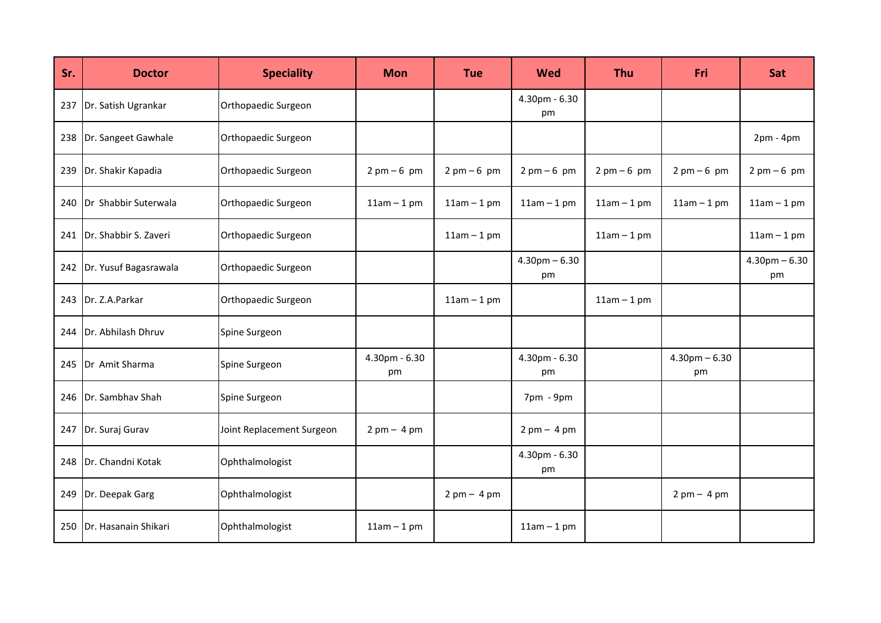| Sr. | <b>Doctor</b>         | <b>Speciality</b>         | <b>Mon</b>          | <b>Tue</b>                    | <b>Wed</b>              | <b>Thu</b>   | Fri                           | Sat                           |
|-----|-----------------------|---------------------------|---------------------|-------------------------------|-------------------------|--------------|-------------------------------|-------------------------------|
| 237 | Dr. Satish Ugrankar   | Orthopaedic Surgeon       |                     |                               | 4.30pm - 6.30<br>pm     |              |                               |                               |
| 238 | Dr. Sangeet Gawhale   | Orthopaedic Surgeon       |                     |                               |                         |              |                               | $2pm - 4pm$                   |
| 239 | Dr. Shakir Kapadia    | Orthopaedic Surgeon       | $2pm-6pm$           | $2 \text{ pm} - 6 \text{ pm}$ | $2pm-6pm$               | $2pm-6pm$    | $2 \text{ pm} - 6 \text{ pm}$ | $2 \text{ pm} - 6 \text{ pm}$ |
| 240 | Dr Shabbir Suterwala  | Orthopaedic Surgeon       | $11am - 1pm$        | $11am - 1pm$                  | $11am - 1pm$            | $11am - 1pm$ | $11am - 1pm$                  | $11am - 1pm$                  |
| 241 | Dr. Shabbir S. Zaveri | Orthopaedic Surgeon       |                     | $11am - 1pm$                  |                         | $11am - 1pm$ |                               | $11am - 1pm$                  |
| 242 | Dr. Yusuf Bagasrawala | Orthopaedic Surgeon       |                     |                               | $4.30$ pm $-6.30$<br>pm |              |                               | $4.30$ pm $-6.30$<br>pm       |
| 243 | Dr. Z.A.Parkar        | Orthopaedic Surgeon       |                     | $11am - 1pm$                  |                         | $11am - 1pm$ |                               |                               |
| 244 | Dr. Abhilash Dhruv    | Spine Surgeon             |                     |                               |                         |              |                               |                               |
| 245 | Dr Amit Sharma        | Spine Surgeon             | 4.30pm - 6.30<br>pm |                               | 4.30pm - 6.30<br>pm     |              | $4.30$ pm $-6.30$<br>pm       |                               |
| 246 | Dr. Sambhav Shah      | Spine Surgeon             |                     |                               | 7pm - 9pm               |              |                               |                               |
| 247 | Dr. Suraj Gurav       | Joint Replacement Surgeon | $2pm - 4pm$         |                               | $2pm - 4pm$             |              |                               |                               |
| 248 | Dr. Chandni Kotak     | Ophthalmologist           |                     |                               | 4.30pm - 6.30<br>pm     |              |                               |                               |
| 249 | Dr. Deepak Garg       | Ophthalmologist           |                     | $2 \text{ pm} - 4 \text{ pm}$ |                         |              | $2 \text{ pm} - 4 \text{ pm}$ |                               |
| 250 | Dr. Hasanain Shikari  | Ophthalmologist           | $11am - 1pm$        |                               | $11am - 1pm$            |              |                               |                               |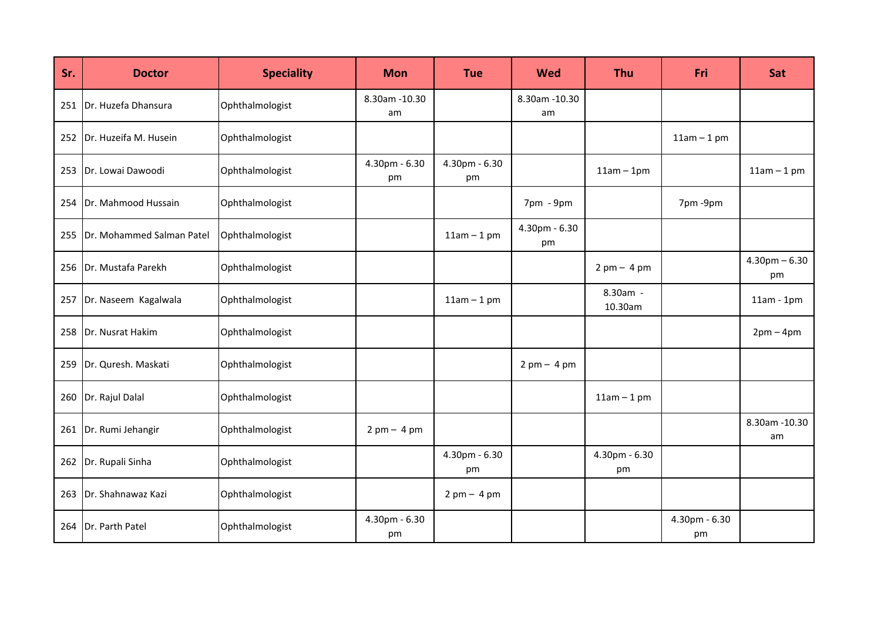| Sr. | <b>Doctor</b>             | <b>Speciality</b> | <b>Mon</b>           | <b>Tue</b>                    | Wed                           | <b>Thu</b>                    | Fri                 | Sat                     |
|-----|---------------------------|-------------------|----------------------|-------------------------------|-------------------------------|-------------------------------|---------------------|-------------------------|
| 251 | Dr. Huzefa Dhansura       | Ophthalmologist   | 8.30am - 10.30<br>am |                               | 8.30am -10.30<br>am           |                               |                     |                         |
| 252 | Dr. Huzeifa M. Husein     | Ophthalmologist   |                      |                               |                               |                               | $11am - 1pm$        |                         |
| 253 | Dr. Lowai Dawoodi         | Ophthalmologist   | 4.30pm - 6.30<br>pm  | 4.30pm - 6.30<br>pm           |                               | $11am - 1pm$                  |                     | $11am - 1pm$            |
| 254 | Dr. Mahmood Hussain       | Ophthalmologist   |                      |                               | 7pm - 9pm                     |                               | 7pm-9pm             |                         |
| 255 | Dr. Mohammed Salman Patel | Ophthalmologist   |                      | $11am - 1pm$                  | 4.30pm - 6.30<br>pm           |                               |                     |                         |
| 256 | Dr. Mustafa Parekh        | Ophthalmologist   |                      |                               |                               | $2 \text{ pm} - 4 \text{ pm}$ |                     | $4.30$ pm $-6.30$<br>pm |
| 257 | Dr. Naseem Kagalwala      | Ophthalmologist   |                      | $11am - 1pm$                  |                               | 8.30am -<br>10.30am           |                     | $11am - 1pm$            |
| 258 | Dr. Nusrat Hakim          | Ophthalmologist   |                      |                               |                               |                               |                     | $2pm-4pm$               |
| 259 | Dr. Quresh. Maskati       | Ophthalmologist   |                      |                               | $2 \text{ pm} - 4 \text{ pm}$ |                               |                     |                         |
| 260 | Dr. Rajul Dalal           | Ophthalmologist   |                      |                               |                               | $11am - 1pm$                  |                     |                         |
| 261 | Dr. Rumi Jehangir         | Ophthalmologist   | $2pm - 4pm$          |                               |                               |                               |                     | 8.30am -10.30<br>am     |
| 262 | Dr. Rupali Sinha          | Ophthalmologist   |                      | 4.30pm - 6.30<br>pm           |                               | 4.30pm - 6.30<br>pm           |                     |                         |
| 263 | Dr. Shahnawaz Kazi        | Ophthalmologist   |                      | $2 \text{ pm} - 4 \text{ pm}$ |                               |                               |                     |                         |
| 264 | Dr. Parth Patel           | Ophthalmologist   | 4.30pm - 6.30<br>pm  |                               |                               |                               | 4.30pm - 6.30<br>pm |                         |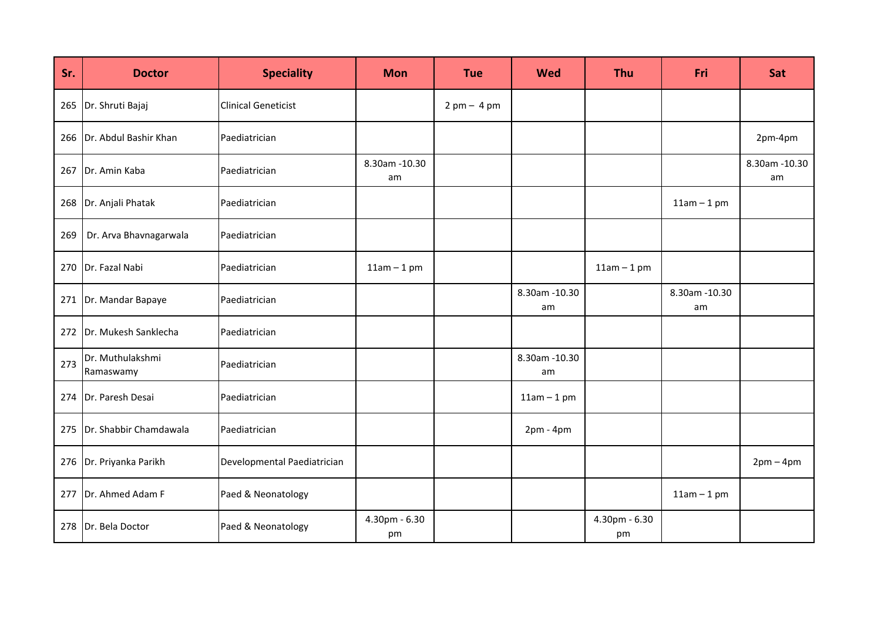| Sr. | <b>Doctor</b>                 | <b>Speciality</b>           | <b>Mon</b>           | <b>Tue</b>                    | <b>Wed</b>           | <b>Thu</b>          | Fri                  | Sat                  |
|-----|-------------------------------|-----------------------------|----------------------|-------------------------------|----------------------|---------------------|----------------------|----------------------|
| 265 | Dr. Shruti Bajaj              | <b>Clinical Geneticist</b>  |                      | $2 \text{ pm} - 4 \text{ pm}$ |                      |                     |                      |                      |
| 266 | Dr. Abdul Bashir Khan         | Paediatrician               |                      |                               |                      |                     |                      | 2pm-4pm              |
| 267 | Dr. Amin Kaba                 | Paediatrician               | 8.30am - 10.30<br>am |                               |                      |                     |                      | 8.30am - 10.30<br>am |
| 268 | Dr. Anjali Phatak             | Paediatrician               |                      |                               |                      |                     | $11am - 1pm$         |                      |
| 269 | Dr. Arva Bhavnagarwala        | Paediatrician               |                      |                               |                      |                     |                      |                      |
| 270 | Dr. Fazal Nabi                | Paediatrician               | $11am - 1pm$         |                               |                      | $11am - 1pm$        |                      |                      |
| 271 | Dr. Mandar Bapaye             | Paediatrician               |                      |                               | 8.30am - 10.30<br>am |                     | 8.30am - 10.30<br>am |                      |
| 272 | Dr. Mukesh Sanklecha          | Paediatrician               |                      |                               |                      |                     |                      |                      |
| 273 | Dr. Muthulakshmi<br>Ramaswamy | Paediatrician               |                      |                               | 8.30am - 10.30<br>am |                     |                      |                      |
| 274 | Dr. Paresh Desai              | Paediatrician               |                      |                               | $11am - 1pm$         |                     |                      |                      |
| 275 | Dr. Shabbir Chamdawala        | Paediatrician               |                      |                               | $2pm - 4pm$          |                     |                      |                      |
| 276 | Dr. Priyanka Parikh           | Developmental Paediatrician |                      |                               |                      |                     |                      | $2pm-4pm$            |
| 277 | Dr. Ahmed Adam F              | Paed & Neonatology          |                      |                               |                      |                     | $11am - 1pm$         |                      |
| 278 | Dr. Bela Doctor               | Paed & Neonatology          | 4.30pm - 6.30<br>pm  |                               |                      | 4.30pm - 6.30<br>pm |                      |                      |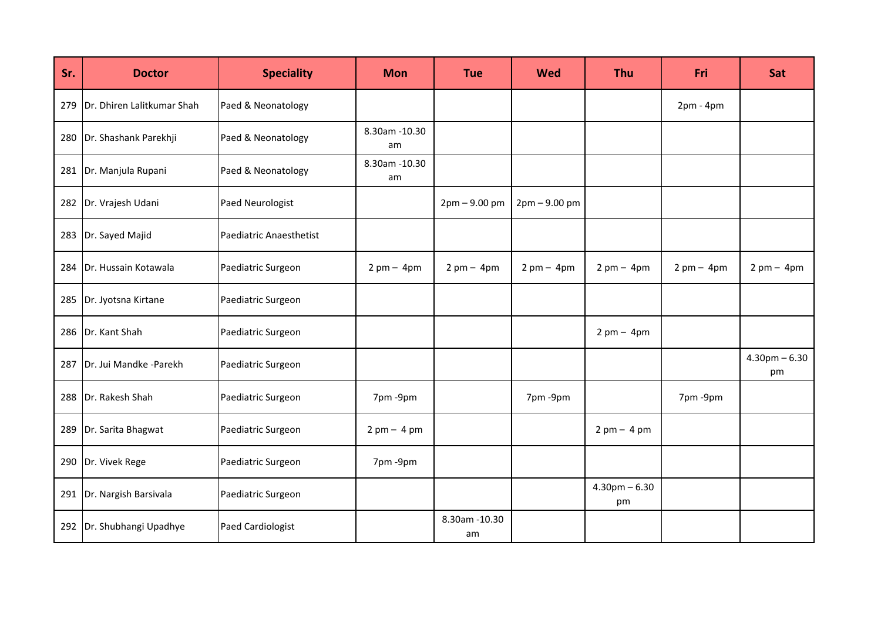| Sr. | <b>Doctor</b>              | <b>Speciality</b>       | <b>Mon</b>                    | <b>Tue</b>                    | Wed                           | <b>Thu</b>                    | Fri                           | Sat                           |
|-----|----------------------------|-------------------------|-------------------------------|-------------------------------|-------------------------------|-------------------------------|-------------------------------|-------------------------------|
| 279 | Dr. Dhiren Lalitkumar Shah | Paed & Neonatology      |                               |                               |                               |                               | $2pm - 4pm$                   |                               |
| 280 | Dr. Shashank Parekhji      | Paed & Neonatology      | 8.30am - 10.30<br>am          |                               |                               |                               |                               |                               |
| 281 | Dr. Manjula Rupani         | Paed & Neonatology      | 8.30am - 10.30<br>am          |                               |                               |                               |                               |                               |
| 282 | Dr. Vrajesh Udani          | Paed Neurologist        |                               | $2pm - 9.00 pm$               | $2pm - 9.00 pm$               |                               |                               |                               |
| 283 | Dr. Sayed Majid            | Paediatric Anaesthetist |                               |                               |                               |                               |                               |                               |
| 284 | Dr. Hussain Kotawala       | Paediatric Surgeon      | $2 \text{ pm} - 4 \text{ pm}$ | $2 \text{ pm} - 4 \text{ pm}$ | $2 \text{ pm} - 4 \text{ pm}$ | $2 \text{ pm} - 4 \text{ pm}$ | $2 \text{ pm} - 4 \text{ pm}$ | $2 \text{ pm} - 4 \text{ pm}$ |
| 285 | Dr. Jyotsna Kirtane        | Paediatric Surgeon      |                               |                               |                               |                               |                               |                               |
| 286 | Dr. Kant Shah              | Paediatric Surgeon      |                               |                               |                               | $2 \text{ pm} - 4 \text{ pm}$ |                               |                               |
| 287 | Dr. Jui Mandke -Parekh     | Paediatric Surgeon      |                               |                               |                               |                               |                               | $4.30$ pm $-6.30$<br>pm       |
| 288 | Dr. Rakesh Shah            | Paediatric Surgeon      | 7pm-9pm                       |                               | 7pm-9pm                       |                               | 7pm-9pm                       |                               |
| 289 | Dr. Sarita Bhagwat         | Paediatric Surgeon      | $2pm - 4pm$                   |                               |                               | $2pm - 4pm$                   |                               |                               |
| 290 | Dr. Vivek Rege             | Paediatric Surgeon      | 7pm -9pm                      |                               |                               |                               |                               |                               |
| 291 | Dr. Nargish Barsivala      | Paediatric Surgeon      |                               |                               |                               | $4.30$ pm $-6.30$<br>pm       |                               |                               |
| 292 | Dr. Shubhangi Upadhye      | Paed Cardiologist       |                               | 8.30am - 10.30<br>am          |                               |                               |                               |                               |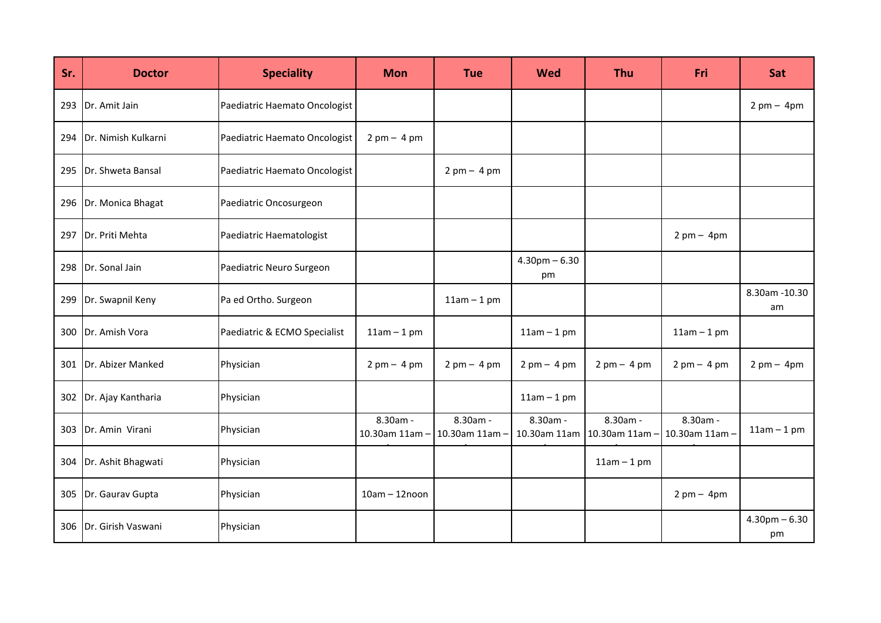| Sr. | <b>Doctor</b>       | <b>Speciality</b>             | <b>Mon</b>                | <b>Tue</b>                    | Wed                           | <b>Thu</b>                                               | Fri                           | Sat                           |
|-----|---------------------|-------------------------------|---------------------------|-------------------------------|-------------------------------|----------------------------------------------------------|-------------------------------|-------------------------------|
| 293 | Dr. Amit Jain       | Paediatric Haemato Oncologist |                           |                               |                               |                                                          |                               | $2 \text{ pm} - 4 \text{ pm}$ |
| 294 | Dr. Nimish Kulkarni | Paediatric Haemato Oncologist | $2pm - 4pm$               |                               |                               |                                                          |                               |                               |
| 295 | Dr. Shweta Bansal   | Paediatric Haemato Oncologist |                           | $2 \text{ pm} - 4 \text{ pm}$ |                               |                                                          |                               |                               |
| 296 | Dr. Monica Bhagat   | Paediatric Oncosurgeon        |                           |                               |                               |                                                          |                               |                               |
| 297 | Dr. Priti Mehta     | Paediatric Haematologist      |                           |                               |                               |                                                          | $2 \text{ pm} - 4 \text{ pm}$ |                               |
| 298 | Dr. Sonal Jain      | Paediatric Neuro Surgeon      |                           |                               | $4.30$ pm $-6.30$<br>pm       |                                                          |                               |                               |
| 299 | Dr. Swapnil Keny    | Pa ed Ortho. Surgeon          |                           | $11am - 1pm$                  |                               |                                                          |                               | 8.30am - 10.30<br>am          |
| 300 | Dr. Amish Vora      | Paediatric & ECMO Specialist  | $11am - 1pm$              |                               | $11am - 1pm$                  |                                                          | $11am - 1pm$                  |                               |
| 301 | Dr. Abizer Manked   | Physician                     | $2pm - 4pm$               | $2 \text{ pm} - 4 \text{ pm}$ | $2 \text{ pm} - 4 \text{ pm}$ | $2pm - 4pm$                                              | $2 \text{ pm} - 4 \text{ pm}$ | $2 \text{ pm} - 4 \text{ pm}$ |
| 302 | Dr. Ajay Kantharia  | Physician                     |                           |                               | $11am - 1pm$                  |                                                          |                               |                               |
| 303 | Dr. Amin Virani     | Physician                     | 8.30am -<br>10.30am 11am- | 8.30am -<br>10.30am 11am      | 8.30am -                      | 8.30am -<br>10.30am 11am   10.30am 11am - 10.30am 11am - | 8.30am -                      | $11am - 1pm$                  |
| 304 | Dr. Ashit Bhagwati  | Physician                     |                           |                               |                               | $11am - 1pm$                                             |                               |                               |
| 305 | Dr. Gaurav Gupta    | Physician                     | $10am - 12noon$           |                               |                               |                                                          | $2 \text{ pm} - 4 \text{ pm}$ |                               |
| 306 | Dr. Girish Vaswani  | Physician                     |                           |                               |                               |                                                          |                               | $4.30$ pm $-6.30$<br>pm       |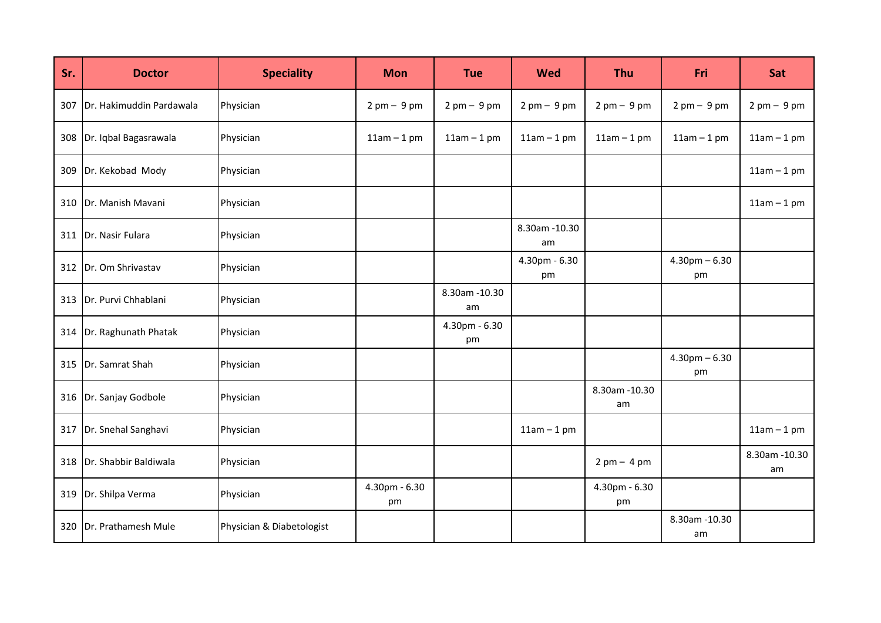| Sr. | <b>Doctor</b>             | <b>Speciality</b>         | <b>Mon</b>          | <b>Tue</b>                    | <b>Wed</b>                    | Thu                           | Fri                     | Sat                           |
|-----|---------------------------|---------------------------|---------------------|-------------------------------|-------------------------------|-------------------------------|-------------------------|-------------------------------|
| 307 | Dr. Hakimuddin Pardawala  | Physician                 | $2pm - 9pm$         | $2 \text{ pm} - 9 \text{ pm}$ | $2 \text{ pm} - 9 \text{ pm}$ | $2 \text{ pm} - 9 \text{ pm}$ | $2pm - 9pm$             | $2 \text{ pm} - 9 \text{ pm}$ |
| 308 | Dr. Iqbal Bagasrawala     | Physician                 | $11am - 1pm$        | $11am - 1pm$                  | $11am - 1pm$                  | $11am - 1pm$                  | $11am - 1pm$            | $11am - 1pm$                  |
| 309 | Dr. Kekobad Mody          | Physician                 |                     |                               |                               |                               |                         | $11am - 1pm$                  |
| 310 | Dr. Manish Mavani         | Physician                 |                     |                               |                               |                               |                         | $11am - 1pm$                  |
| 311 | Dr. Nasir Fulara          | Physician                 |                     |                               | 8.30am - 10.30<br>am          |                               |                         |                               |
| 312 | Dr. Om Shrivastav         | Physician                 |                     |                               | 4.30pm - 6.30<br>pm           |                               | $4.30$ pm $-6.30$<br>pm |                               |
|     | 313 Dr. Purvi Chhablani   | Physician                 |                     | 8.30am - 10.30<br>am          |                               |                               |                         |                               |
| 314 | Dr. Raghunath Phatak      | Physician                 |                     | 4.30pm - 6.30<br>pm           |                               |                               |                         |                               |
| 315 | Dr. Samrat Shah           | Physician                 |                     |                               |                               |                               | $4.30$ pm $-6.30$<br>pm |                               |
| 316 | Dr. Sanjay Godbole        | Physician                 |                     |                               |                               | 8.30am - 10.30<br>am          |                         |                               |
| 317 | Dr. Snehal Sanghavi       | Physician                 |                     |                               | $11am - 1pm$                  |                               |                         | $11am - 1pm$                  |
|     | 318 Dr. Shabbir Baldiwala | Physician                 |                     |                               |                               | $2 \text{ pm} - 4 \text{ pm}$ |                         | 8.30am -10.30<br>am           |
| 319 | Dr. Shilpa Verma          | Physician                 | 4.30pm - 6.30<br>pm |                               |                               | 4.30pm - 6.30<br>pm           |                         |                               |
| 320 | Dr. Prathamesh Mule       | Physician & Diabetologist |                     |                               |                               |                               | 8.30am -10.30<br>am     |                               |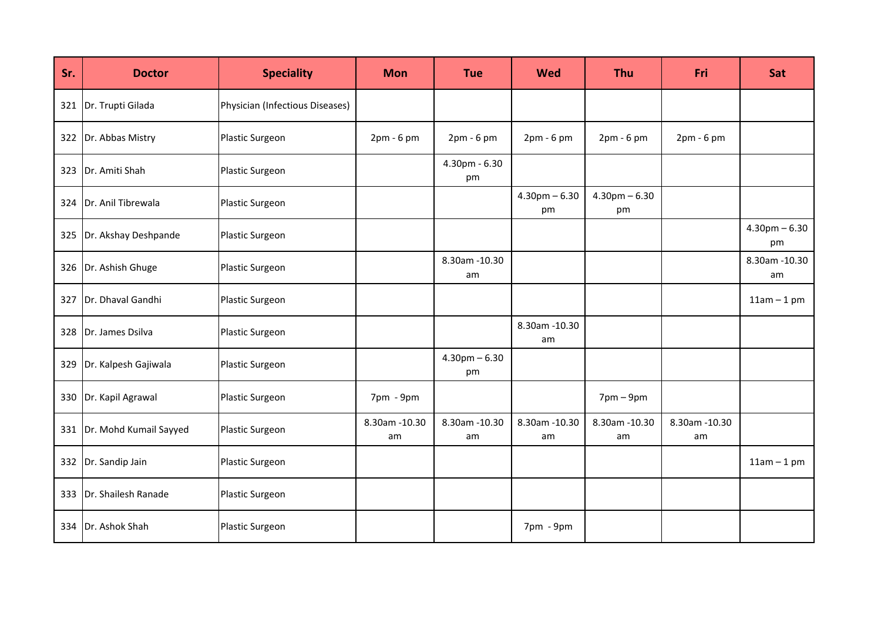| Sr. | <b>Doctor</b>          | <b>Speciality</b>               | <b>Mon</b>           | <b>Tue</b>              | <b>Wed</b>              | <b>Thu</b>                  | <b>Fri</b>          | Sat                     |
|-----|------------------------|---------------------------------|----------------------|-------------------------|-------------------------|-----------------------------|---------------------|-------------------------|
| 321 | Dr. Trupti Gilada      | Physician (Infectious Diseases) |                      |                         |                         |                             |                     |                         |
| 322 | Dr. Abbas Mistry       | Plastic Surgeon                 | $2pm - 6pm$          | 2pm - 6 pm              | 2pm - 6 pm              | $2pm - 6pm$                 | 2pm - 6 pm          |                         |
| 323 | Dr. Amiti Shah         | Plastic Surgeon                 |                      | $4.30pm - 6.30$<br>pm   |                         |                             |                     |                         |
| 324 | Dr. Anil Tibrewala     | Plastic Surgeon                 |                      |                         | $4.30$ pm $-6.30$<br>pm | $4.30$ pm $-6.30$<br>pm     |                     |                         |
| 325 | Dr. Akshay Deshpande   | Plastic Surgeon                 |                      |                         |                         |                             |                     | $4.30$ pm $-6.30$<br>pm |
| 326 | Dr. Ashish Ghuge       | Plastic Surgeon                 |                      | 8.30am - 10.30<br>am    |                         |                             |                     | 8.30am -10.30<br>am     |
| 327 | Dr. Dhaval Gandhi      | Plastic Surgeon                 |                      |                         |                         |                             |                     | $11am - 1pm$            |
| 328 | Dr. James Dsilva       | Plastic Surgeon                 |                      |                         | 8.30am -10.30<br>am     |                             |                     |                         |
| 329 | Dr. Kalpesh Gajiwala   | Plastic Surgeon                 |                      | $4.30$ pm $-6.30$<br>pm |                         |                             |                     |                         |
| 330 | Dr. Kapil Agrawal      | Plastic Surgeon                 | $7$ pm - $9$ pm      |                         |                         | $7 \text{pm} - 9 \text{pm}$ |                     |                         |
| 331 | Dr. Mohd Kumail Sayyed | Plastic Surgeon                 | 8.30am - 10.30<br>am | 8.30am - 10.30<br>am    | 8.30am - 10.30<br>am    | 8.30am - 10.30<br>am        | 8.30am -10.30<br>am |                         |
| 332 | Dr. Sandip Jain        | Plastic Surgeon                 |                      |                         |                         |                             |                     | $11am - 1pm$            |
| 333 | Dr. Shailesh Ranade    | Plastic Surgeon                 |                      |                         |                         |                             |                     |                         |
| 334 | Dr. Ashok Shah         | Plastic Surgeon                 |                      |                         | 7pm - 9pm               |                             |                     |                         |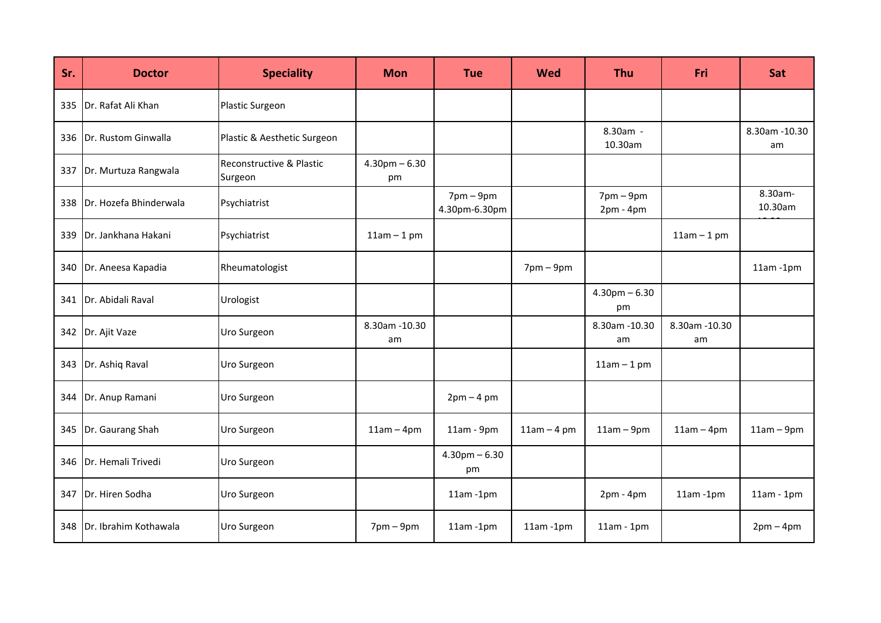| Sr. | <b>Doctor</b>          | <b>Speciality</b>                   | <b>Mon</b>              | <b>Tue</b>                 | <b>Wed</b>     | <b>Thu</b>                                 | Fri                 | Sat                 |
|-----|------------------------|-------------------------------------|-------------------------|----------------------------|----------------|--------------------------------------------|---------------------|---------------------|
| 335 | Dr. Rafat Ali Khan     | Plastic Surgeon                     |                         |                            |                |                                            |                     |                     |
| 336 | Dr. Rustom Ginwalla    | Plastic & Aesthetic Surgeon         |                         |                            |                | 8.30am -<br>10.30am                        |                     | 8.30am -10.30<br>am |
| 337 | Dr. Murtuza Rangwala   | Reconstructive & Plastic<br>Surgeon | $4.30$ pm $-6.30$<br>pm |                            |                |                                            |                     |                     |
| 338 | Dr. Hozefa Bhinderwala | Psychiatrist                        |                         | $7pm-9pm$<br>4.30pm-6.30pm |                | $7 \text{pm} - 9 \text{pm}$<br>$2pm - 4pm$ |                     | 8.30am-<br>10.30am  |
| 339 | Dr. Jankhana Hakani    | Psychiatrist                        | $11am - 1pm$            |                            |                |                                            | $11am - 1pm$        |                     |
| 340 | Dr. Aneesa Kapadia     | Rheumatologist                      |                         |                            | $7$ pm $-9$ pm |                                            |                     | $11am - 1pm$        |
| 341 | Dr. Abidali Raval      | Urologist                           |                         |                            |                | $4.30$ pm $-6.30$<br>pm                    |                     |                     |
| 342 | Dr. Ajit Vaze          | Uro Surgeon                         | 8.30am - 10.30<br>am    |                            |                | 8.30am - 10.30<br>am                       | 8.30am -10.30<br>am |                     |
| 343 | Dr. Ashiq Raval        | Uro Surgeon                         |                         |                            |                | $11am - 1pm$                               |                     |                     |
| 344 | Dr. Anup Ramani        | Uro Surgeon                         |                         | $2pm - 4pm$                |                |                                            |                     |                     |
| 345 | Dr. Gaurang Shah       | Uro Surgeon                         | $11am - 4pm$            | $11am - 9pm$               | $11am - 4pm$   | $11am - 9pm$                               | $11am - 4pm$        | $11am - 9pm$        |
| 346 | Dr. Hemali Trivedi     | Uro Surgeon                         |                         | $4.30$ pm $-6.30$<br>pm    |                |                                            |                     |                     |
| 347 | Dr. Hiren Sodha        | Uro Surgeon                         |                         | $11am - 1pm$               |                | $2pm - 4pm$                                | $11am - 1pm$        | $11am - 1pm$        |
| 348 | Dr. Ibrahim Kothawala  | Uro Surgeon                         | $7$ pm $-9$ pm          | $11am - 1pm$               | $11am - 1pm$   | $11am - 1pm$                               |                     | $2pm-4pm$           |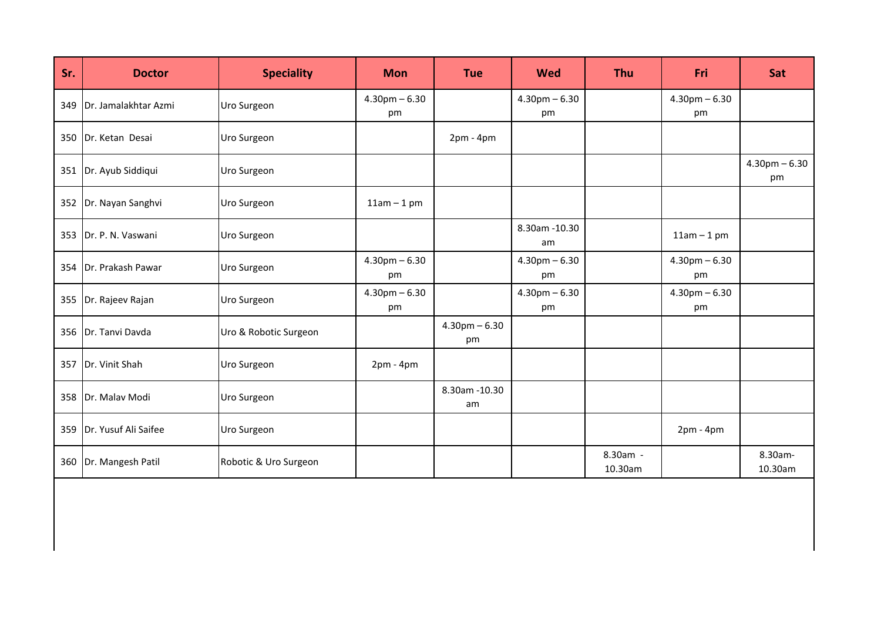| Sr. | <b>Doctor</b>              | <b>Speciality</b>     | <b>Mon</b>              | <b>Tue</b>              | <b>Wed</b>              | Thu                 | Fri                      | Sat                     |
|-----|----------------------------|-----------------------|-------------------------|-------------------------|-------------------------|---------------------|--------------------------|-------------------------|
|     | 349 Dr. Jamalakhtar Azmi   | Uro Surgeon           | $4.30$ pm $-6.30$<br>pm |                         | $4.30$ pm $-6.30$<br>pm |                     | $4.30$ pm $-6.30$<br>pm  |                         |
|     | 350 Dr. Ketan Desai        | Uro Surgeon           |                         | $2pm - 4pm$             |                         |                     |                          |                         |
|     | 351   Dr. Ayub Siddiqui    | Uro Surgeon           |                         |                         |                         |                     |                          | $4.30$ pm $-6.30$<br>pm |
|     | 352 Dr. Nayan Sanghvi      | Uro Surgeon           | $11am - 1pm$            |                         |                         |                     |                          |                         |
|     | 353 Dr. P. N. Vaswani      | Uro Surgeon           |                         |                         | 8.30am -10.30<br>am     |                     | $11am - 1pm$             |                         |
|     | 354 Dr. Prakash Pawar      | Uro Surgeon           | $4.30$ pm $-6.30$<br>pm |                         | $4.30$ pm $-6.30$<br>pm |                     | $4.30$ pm $- 6.30$<br>pm |                         |
|     | 355 Dr. Rajeev Rajan       | Uro Surgeon           | $4.30$ pm $-6.30$<br>pm |                         | $4.30$ pm $-6.30$<br>pm |                     | $4.30$ pm $-6.30$<br>pm  |                         |
|     | 356 Dr. Tanvi Davda        | Uro & Robotic Surgeon |                         | $4.30$ pm $-6.30$<br>pm |                         |                     |                          |                         |
|     | 357 Dr. Vinit Shah         | Uro Surgeon           | $2pm - 4pm$             |                         |                         |                     |                          |                         |
|     | 358   Dr. Malav Modi       | Uro Surgeon           |                         | 8.30am - 10.30<br>am    |                         |                     |                          |                         |
|     | 359   Dr. Yusuf Ali Saifee | Uro Surgeon           |                         |                         |                         |                     | $2pm - 4pm$              |                         |
|     | 360 Dr. Mangesh Patil      | Robotic & Uro Surgeon |                         |                         |                         | 8.30am -<br>10.30am |                          | 8.30am-<br>10.30am      |
|     |                            |                       |                         |                         |                         |                     |                          |                         |
|     |                            |                       |                         |                         |                         |                     |                          |                         |